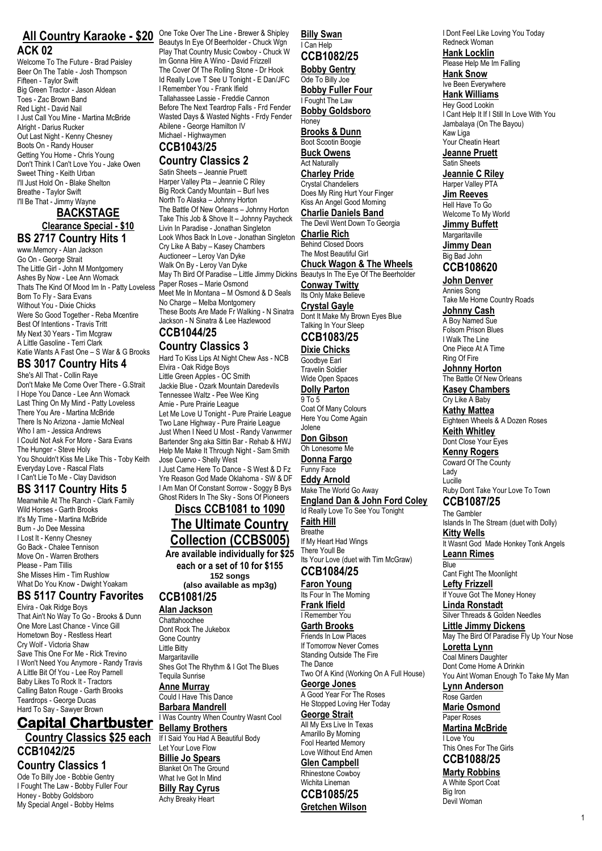# **All Country Karaoke - \$20** One Toke Over The Line - Brewer & Shipley **ACK 02**

Welcome To The Future - Brad Paisley Beer On The Table - Josh Thompson Fifteen - Taylor Swift Big Green Tractor - Jason Aldean Toes - Zac Brown Band Red Light - David Nail I Just Call You Mine - Martina McBride Alright - Darius Rucker Out Last Night - Kenny Chesney Boots On - Randy Houser Getting You Home - Chris Young Don't Think I Can't Love You - Jake Owen Sweet Thing - Keith Urban I'll Just Hold On - Blake Shelton Breathe - Taylor Swift I'll Be That - Jimmy Wayne

#### **BACKSTAGE Clearance Special - \$10 BS 2717 Country Hits 1**

www.Memory - Alan Jackson Go On - George Strait The Little Girl - John M Montgomery Ashes By Now - Lee Ann Womack Thats The Kind Of Mood Im In - Patty Loveless Born To Fly - Sara Evans Without You - Dixie Chicks Were So Good Together - Reba Mcentire Best Of Intentions - Travis Tritt My Next 30 Years - Tim Mcgraw A Little Gasoline - Terri Clark Katie Wants A Fast One – S War & G Brooks

# **BS 3017 Country Hits 4**

She's All That - Collin Raye Don't Make Me Come Over There - G.Strait I Hope You Dance - Lee Ann Womack Last Thing On My Mind - Patty Loveless There You Are - Martina McBride There Is No Arizona - Jamie McNeal Who I am - Jessica Andrews I Could Not Ask For More - Sara Evans The Hunger - Steve Holy You Shouldn't Kiss Me Like This - Toby Keith Everyday Love - Rascal Flats I Can't Lie To Me - Clay Davidson

# **BS 3117 Country Hits 5**

Meanwhile At The Ranch - Clark Family Wild Horses - Garth Brooks It's My Time - Martina McBride Burn - Jo Dee Messina I Lost It - Kenny Chesney Go Back - Chalee Tennison Move On - Warren Brothers Please - Pam Tillis She Misses Him - Tim Rushlow What Do You Know - Dwight Yoakam

# **BS 5117 Country Favorites**

Elvira - Oak Ridge Boys That Ain't No Way To Go - Brooks & Dunn One More Last Chance - Vince Gill Hometown Boy - Restless Heart Cry Wolf - Victoria Shaw Save This One For Me - Rick Trevino I Won't Need You Anymore - Randy Travis A Little Bit Of You - Lee Roy Parnell Baby Likes To Rock It - Tractors Calling Baton Rouge - Garth Brooks Teardrops - George Ducas Hard To Say - Sawyer Brown

# **Capital Chartbuster Country Classics \$25 each CCB1042/25**

# **Country Classics 1**

Ode To Billy Joe - Bobbie Gentry I Fought The Law - Bobby Fuller Four Honey - Bobby Goldsboro My Special Angel - Bobby Helms

Beautys In Eye Of Beerholder - Chuck Wgn Play That Country Music Cowboy - Chuck W Im Gonna Hire A Wino - David Frizzell The Cover Of The Rolling Stone - Dr Hook Id Really Love T See U Tonight - E Dan/JFC I Remember You - Frank Ifield Tallahassee Lassie - Freddie Cannon Before The Next Teardrop Falls - Frd Fender Wasted Days & Wasted Nights - Frdy Fender Abilene - George Hamilton IV Michael - Highwaymen

# **CCB1043/25**

**Country Classics 2** Satin Sheets – Jeannie Pruett Harper Valley Pta – Jeannie C Riley Big Rock Candy Mountain – Burl Ives North To Alaska – Johnny Horton The Battle Of New Orleans – Johnny Horton Take This Job & Shove It – Johnny Paycheck Livin In Paradise - Jonathan Singleton Look Whos Back In Love - Jonathan Singleton Cry Like A Baby – Kasey Chambers Auctioneer – Leroy Van Dyke Walk On By - Leroy Van Dyke May Th Bird Of Paradise – Little Jimmy Dickins Beautys In The Eye Of The Beerholder Paper Roses – Marie Osmond Meet Me In Montana – M Osmond & D Seals No Charge – Melba Montgomery These Boots Are Made Fr Walking - N Sinatra Jackson - N Sinatra & Lee Hazlewood **CCB1044/25**

# **Country Classics 3**

Hard To Kiss Lips At Night Chew Ass - NCB Elvira - Oak Ridge Boys Little Green Apples - OC Smith Jackie Blue - Ozark Mountain Daredevils Tennessee Waltz - Pee Wee King Amie - Pure Prairie League Let Me Love U Tonight - Pure Prairie League Two Lane Highway - Pure Prairie League Just When I Need U Most - Randy Vanwrmer Bartender Sng aka Sittin Bar - Rehab & HWJ Help Me Make It Through Night - Sam Smith Jose Cuervo - Shelly West I Just Came Here To Dance - S West & D Fz Yre Reason God Made Oklahoma - SW & DF

I Am Man Of Constant Sorrow - Soggy B Bys Ghost Riders In The Sky - Sons Of Pioneers

## **Discs CCB1081 to 1090 The Ultimate Country Collection (CCBS005) Are available individually for \$25 each or a set of 10 for \$155**

**152 songs (also available as mp3g)**

# **CCB1081/25**

**Alan Jackson**

Chattahoochee Dont Rock The Jukebox Gone Country Little Bitty Margaritaville Shes Got The Rhythm & I Got The Blues Tequila Sunrise **Anne Murray** Could I Have This Dance **Barbara Mandrell** I Was Country When Country Wasnt Cool **Bellamy Brothers**

If I Said You Had A Beautiful Body Let Your Love Flow **Billie Jo Spears** Blanket On The Ground What Ive Got In Mind **Billy Ray Cyrus** Achy Breaky Heart

#### **Billy Swan** I Can Help **CCB1082/25**

**Bobby Gentry** Ode To Billy Joe **Bobby Fuller Four** I Fought The Law **Bobby Goldsboro**

#### Honey **Brooks & Dunn** Boot Scootin Boogie **Buck Owens**

Act Naturally **Charley Pride**

Crystal Chandeliers Does My Ring Hurt Your Finger Kiss An Angel Good Morning **Charlie Daniels Band**

The Devil Went Down To Georgia **Charlie Rich** Behind Closed Doors

The Most Beautiful Girl **Chuck Wagon & The Wheels**

**Conway Twitty** Its Only Make Believe **Crystal Gayle** Dont It Make My Brown Eyes Blue Talking In Your Sleep

# **CCB1083/25**

**Dixie Chicks** Goodbye Earl Travelin Soldier Wide Open Spaces **Dolly Parton** 9 To 5 Coat Of Many Colours Here You Come Again Jolene

**Don Gibson** Oh Lonesome Me **Donna Fargo** Funny Face **Eddy Arnold**

Make The World Go Away **England Dan & John Ford Coley**

#### Id Really Love To See You Tonight **Faith Hill**

**Breathe** If My Heart Had Wings There Youll Be Its Your Love (duet with Tim McGraw) **CCB1084/25**

# **Faron Young**

Its Four In The Morning **Frank Ifield** I Remember You

**Garth Brooks** Friends In Low Places If Tomorrow Never Comes Standing Outside The Fire The Dance Two Of A Kind (Working On A Full House) **George Jones** A Good Year For The Roses He Stopped Loving Her Today **George Strait** All My Exs Live In Texas

Amarillo By Morning Fool Hearted Memory Love Without End Amen **Glen Campbell** Rhinestone Cowboy

Wichita Lineman **CCB1085/25**

**Gretchen Wilson**

I Dont Feel Like Loving You Today Redneck Woman **Hank Locklin** Please Help Me Im Falling **Hank Snow** Ive Been Everywhere **Hank Williams** Hey Good Lookin

I Cant Help It If I Still In Love With You Jambalaya (On The Bayou) Kaw Liga Your Cheatin Heart

**Jeanne Pruett**

Satin Sheets **Jeannie C Riley**

Harper Valley PTA **Jim Reeves**

Hell Have To Go Welcome To My World

**Jimmy Buffett Margaritaville** 

**Jimmy Dean** Big Bad John

# **CCB108620**

**John Denver** Annies Song Take Me Home Country Roads **Johnny Cash** A Boy Named Sue Folsom Prison Blues I Walk The Line One Piece At A Time Ring Of Fire **Johnny Horton** The Battle Of New Orleans **Kasey Chambers** Cry Like A Baby **Kathy Mattea** Eighteen Wheels & A Dozen Roses **Keith Whitley** Dont Close Your Eyes **Kenny Rogers** Coward Of The County Lady Lucille Ruby Dont Take Your Love To Town

**CCB1087/25**

The Gambler Islands In The Stream (duet with Dolly) **Kitty Wells**

It Wasnt God Made Honkey Tonk Angels **Leann Rimes**

Blue Cant Fight The Moonlight

**Lefty Frizzell** If Youve Got The Money Honey **Linda Ronstadt**

Silver Threads & Golden Needles **Little Jimmy Dickens**

May The Bird Of Paradise Fly Up Your Nose **Loretta Lynn**

Coal Miners Daughter Dont Come Home A Drinkin You Aint Woman Enough To Take My Man **Lynn Anderson** Rose Garden

**Marie Osmond** Paper Roses

**Martina McBride** I Love You This Ones For The Girls

**CCB1088/25**

## **Marty Robbins**

A White Sport Coat Big Iron Devil Woman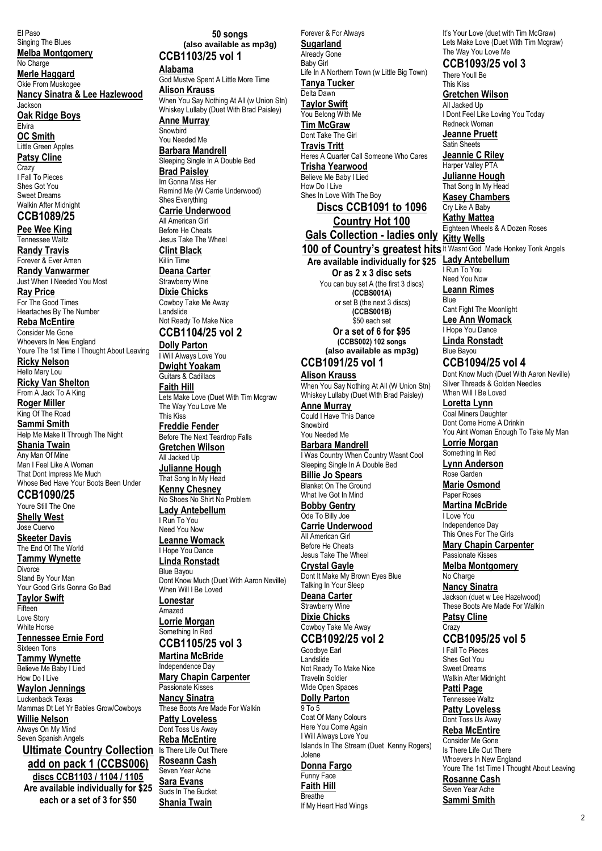El Paso Singing The Blues **Melba Montgomery** No Charge **Merle Haggard** Okie From Muskogee **Nancy Sinatra & Lee Hazlewood** Jackson

# **Oak Ridge Boys**

Elvira **OC Smith** Little Green Apples **Patsy Cline Crazy** I Fall To Pieces Shes Got You

Sweet Dreams Walkin After Midnight **CCB1089/25**

**Pee Wee King** Tennessee Waltz **Randy Travis** Forever & Ever Amen

**Randy Vanwarmer** Just When I Needed You Most

**Ray Price** For The Good Times Heartaches By The Number

**Reba McEntire** Consider Me Gone

Whoevers In New England Youre The 1st Time I Thought About Leaving

**Ricky Nelson** Hello Mary Lou **Ricky Van Shelton**

From A Jack To A King **Roger Miller** King Of The Road **Sammi Smith** Help Me Make It Through The Night

**Shania Twain** Any Man Of Mine Man I Feel Like A Woman That Dont Impress Me Much Whose Bed Have Your Boots Been Under

# **CCB1090/25**

Youre Still The One **Shelly West** Jose Cuervo **Skeeter Davis**

The End Of The World **Tammy Wynette**

Divorce Stand By Your Man Your Good Girls Gonna Go Bad

**Taylor Swift Fifteen** Love Story White Horse

**Tennessee Ernie Ford** Sixteen Tons

**Tammy Wynette** Believe Me Baby I Lied How Do I Live

**Waylon Jennings** Luckenback Texas Mammas Dt Let Yr Babies Grow/Cowboys

**Willie Nelson** Always On My Mind Seven Spanish Angels

**Ultimate Country Collection add on pack 1 (CCBS006) discs CCB1103 / 1104 / 1105 Are available individually for \$25 each or a set of 3 for \$50**

**50 songs (also available as mp3g) CCB1103/25 vol 1**

**Alabama** God Mustve Spent A Little More Time **Alison Krauss** When You Say Nothing At All (w Union Stn) Whiskey Lullaby (Duet With Brad Paisley)

#### **Anne Murray Snowbird**

You Needed Me **Barbara Mandrell**

Sleeping Single In A Double Bed **Brad Paisley** Im Gonna Miss Her Remind Me (W Carrie Underwood) Shes Everything

**Carrie Underwood** All American Girl Before He Cheats

Jesus Take The Wheel **Clint Black**

Killin Time **Deana Carter**

Strawberry Wine **Dixie Chicks** Cowboy Take Me Away Landslide Not Ready To Make Nice

**CCB1104/25 vol 2**

**Dolly Parton** I Will Always Love You

**Dwight Yoakam** Guitars & Cadillacs **Faith Hill** Lets Make Love (Duet With Tim Mcgraw The Way You Love Me This Kiss **Freddie Fender** Before The Next Teardrop Falls **Gretchen Wilson** All Jacked Up **Julianne Hough** That Song In My Head **Kenny Chesney** No Shoes No Shirt No Problem **Lady Antebellum** I Run To You

Need You Now **Leanne Womack** I Hope You Dance

Blue Bayou

# **Martina McBride**

These Boots Are Made For Walkin **Shania Twain**

Forever & For Always **Sugarland** Already Gone Baby Girl Life In A Northern Town (w Little Big Town) **Tanya Tucker** Delta Dawn **Taylor Swift** You Belong With Me **Tim McGraw** Dont Take The Girl **Travis Tritt** Heres A Quarter Call Someone Who Cares **Trisha Yearwood** Believe Me Baby I Lied How Do I Live Shes In Love With The Boy **Discs CCB1091 to 1096 Country Hot 100 Gals Collection - ladies only Kitty Wells** 100 of Country's greatest hits It Wasnt God Made Honkey Tonk Angels **Are available individually for \$25 Lady Antebellum Or as 2 x 3 disc sets** You can buy set A (the first 3 discs) **(CCBS001A)**

or set B (the next 3 discs) **(CCBS001B)** \$50 each set **Or a set of 6 for \$95 (CCBS002) 102 songs**

**(also available as mp3g) CCB1091/25 vol 1**

# **Alison Krauss**

When You Say Nothing At All (W Union Stn) Whiskey Lullaby (Duet With Brad Paisley) **Anne Murray** Could I Have This Dance Snowbird You Needed Me

**Barbara Mandrell** I Was Country When Country Wasnt Cool Sleeping Single In A Double Bed

**Billie Jo Spears** Blanket On The Ground What Ive Got In Mind

**Bobby Gentry** Ode To Billy Joe

**Carrie Underwood** All American Girl Before He Cheats

Jesus Take The Wheel **Crystal Gayle** Dont It Make My Brown Eyes Blue

Talking In Your Sleep **Deana Carter**

Strawberry Wine **Dixie Chicks** Cowboy Take Me Away

# **CCB1092/25 vol 2**

Goodbye Earl Landslide Not Ready To Make Nice Travelin Soldier Wide Open Spaces

#### **Dolly Parton**

9 To 5 Coat Of Many Colours Here You Come Again I Will Always Love You Islands In The Stream (Duet Kenny Rogers) Jolene **Donna Fargo** Funny Face **Faith Hill** Breathe If My Heart Had Wings

It's Your Love (duet with Tim McGraw) Lets Make Love (Duet With Tim Mcgraw) The Way You Love Me

## **CCB1093/25 vol 3**

There Youll Be This Kiss **Gretchen Wilson** All Jacked Up I Dont Feel Like Loving You Today Redneck Woman

**Jeanne Pruett** Satin Sheets **Jeannie C Riley** Harper Valley PTA **Julianne Hough** That Song In My Head **Kasey Chambers** Cry Like A Baby **Kathy Mattea** Eighteen Wheels & A Dozen Roses

I Run To You Need You Now **Leann Rimes**

#### Blue Cant Fight The Moonlight

**Lee Ann Womack** I Hope You Dance **Linda Ronstadt**

# Blue Bayou

**CCB1094/25 vol 4** Dont Know Much (Duet With Aaron Neville) Silver Threads & Golden Needles When Will I Be Loved

**Loretta Lynn** Coal Miners Daughter Dont Come Home A Drinkin You Aint Woman Enough To Take My Man

**Lorrie Morgan** Something In Red **Lynn Anderson** Rose Garden

**Marie Osmond** Paper Roses

#### **Martina McBride** I Love You

Independence Day This Ones For The Girls **Mary Chapin Carpenter**

Passionate Kisses

**Melba Montgomery** No Charge

#### **Nancy Sinatra**

Jackson (duet w Lee Hazelwood) These Boots Are Made For Walkin **Patsy Cline** Crazy

## **CCB1095/25 vol 5**

I Fall To Pieces Shes Got You Sweet Dreams Walkin After Midnight **Patti Page** Tennessee Waltz

#### **Patty Loveless** Dont Toss Us Away

**Reba McEntire** Consider Me Gone Is There Life Out There Whoevers In New England Youre The 1st Time I Thought About Leaving **Rosanne Cash** Seven Year Ache **Sammi Smith**

# **Linda Ronstadt**

Dont Know Much (Duet With Aaron Neville) When Will I Be Loved **Lonestar** Amazed

**Lorrie Morgan** Something In Red

# **CCB1105/25 vol 3**

Independence Day **Mary Chapin Carpenter** Passionate Kisses **Nancy Sinatra Patty Loveless** Dont Toss Us Away **Reba McEntire** Is There Life Out There **Roseann Cash** Seven Year Ache **Sara Evans** Suds In The Bucket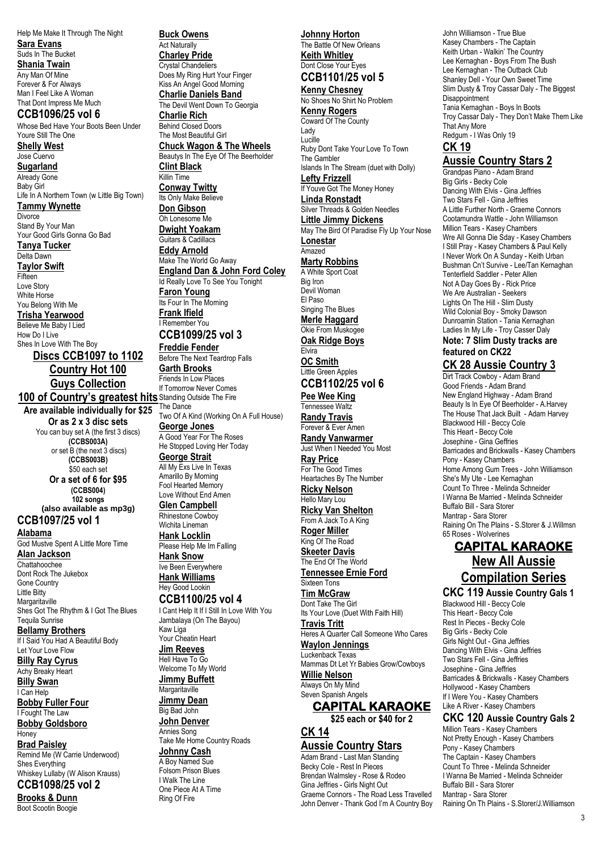Help Me Make It Through The Night **Sara Evans** Suds In The Bucket

**Shania Twain** Any Man Of Mine Forever & For Always Man I Feel Like A Woman That Dont Impress Me Much

#### **CCB1096/25 vol 6**

Whose Bed Have Your Boots Been Under Youre Still The One

#### **Shelly West**

Jose Cuervo **Sugarland** Already Gone Baby Girl Life In A Northern Town (w Little Big Town) **Tammy Wynette**

**Divorce** Stand By Your Man Your Good Girls Gonna Go Bad

**Tanya Tucker** Delta Dawn

**Taylor Swift** Fifteen

Love Story White Horse You Belong With Me **Trisha Yearwood**

Believe Me Baby I Lied How Do I Live Shes In Love With The Boy

# **Discs CCB1097 to 1102 Country Hot 100 Guys Collection**

100 of Country's greatest hits Standing Outside The Fire **Are available individually for \$25**

**Or as 2 x 3 disc sets** You can buy set A (the first 3 discs) **(CCBS003A)** or set B (the next  $3$  discs) **(CCBS003B)** \$50 each set **Or a set of 6 for \$95**

#### **(CCBS004) 102 songs (also available as mp3g) CCB1097/25 vol 1**

**Alabama**

God Mustve Spent A Little More Time

**Alan Jackson** Chattahoochee Dont Rock The Jukebox Gone Country Little Bitty **Margaritaville** Shes Got The Rhythm & I Got The Blues Tequila Sunrise

#### **Bellamy Brothers** If I Said You Had A Beautiful Body

Let Your Love Flow **Billy Ray Cyrus**

Achy Breaky Heart **Billy Swan** I Can Help

**Bobby Fuller Four** I Fought The Law

**Bobby Goldsboro** Honey

#### **Brad Paisley** Remind Me (W Carrie Underwood)

Shes Everything Whiskey Lullaby (W Alison Krauss)

**CCB1098/25 vol 2 Brooks & Dunn**

Boot Scootin Boogie

**Buck Owens**

Act Naturally **Charley Pride** Crystal Chandeliers Does My Ring Hurt Your Finger Kiss An Angel Good Morning **Charlie Daniels Band** The Devil Went Down To Georgia

#### **Charlie Rich** Behind Closed Doors The Most Beautiful Girl

**Chuck Wagon & The Wheels** Beautys In The Eye Of The Beerholder **Clint Black** Killin Time

**Conway Twitty** Its Only Make Believe **Don Gibson** Oh Lonesome Me **Dwight Yoakam** Guitars & Cadillacs **Eddy Arnold** Make The World Go Away **England Dan & John Ford Coley** Id Really Love To See You Tonight **Faron Young** Its Four In The Morning **Frank Ifield** I Remember You **CCB1099/25 vol 3**

## **Freddie Fender**

Before The Next Teardrop Falls **Garth Brooks** Friends In Low Places If Tomorrow Never Comes

The Dance Two Of A Kind (Working On A Full House) **George Jones** A Good Year For The Roses He Stopped Loving Her Today

**George Strait** All My Exs Live In Texas Amarillo By Morning Fool Hearted Memory Love Without End Amen

#### **Glen Campbell** Rhinestone Cowboy

Wichita Lineman **Hank Locklin** Please Help Me Im Falling

**Hank Snow** Ive Been Everywhere **Hank Williams** Hey Good Lookin

# **CCB1100/25 vol 4**

I Cant Help It If I Still In Love With You Jambalaya (On The Bayou) Kaw Liga Your Cheatin Heart **Jim Reeves** Hell Have To Go Welcome To My World

**Jimmy Buffett**

#### **Margaritaville Jimmy Dean** Big Bad John

**John Denver** Annies Song Take Me Home Country Roads

#### **Johnny Cash** A Boy Named Sue Folsom Prison Blues I Walk The Line

One Piece At A Time Ring Of Fire

**Johnny Horton** The Battle Of New Orleans **Keith Whitley** Dont Close Your Eyes **CCB1101/25 vol 5**

#### **Kenny Chesney** No Shoes No Shirt No Problem

**Kenny Rogers** Coward Of The County Lady Lucille Ruby Dont Take Your Love To Town The Gambler Islands In The Stream (duet with Dolly) **Lefty Frizzell** If Youve Got The Money Honey

**Linda Ronstadt** Silver Threads & Golden Needles

**Little Jimmy Dickens** May The Bird Of Paradise Fly Up Your Nose **Lonestar** Amazed **Marty Robbins** A White Sport Coat

Big Iron Devil Woman El Paso Singing The Blues **Merle Haggard** Okie From Muskogee

**Oak Ridge Boys** Elvira

#### **OC Smith** Little Green Apples **CCB1102/25 vol 6**

**Pee Wee King** Tennessee Waltz

**Randy Travis** Forever & Ever Amen **Randy Vanwarmer** Just When I Needed You Most

**Ray Price** For The Good Times Heartaches By The Number

**Ricky Nelson** Hello Mary Lou **Ricky Van Shelton**

From A Jack To A King **Roger Miller** King Of The Road

**Skeeter Davis** The End Of The World **Tennessee Ernie Ford**

#### Sixteen Tons **Tim McGraw**

Dont Take The Girl Its Your Love (Duet With Faith Hill) **Travis Tritt**

Heres A Quarter Call Someone Who Cares

#### **Waylon Jennings** Luckenback Texas Mammas Dt Let Yr Babies Grow/Cowboys **Willie Nelson** Always On My Mind Seven Spanish Angels

**CAPITAL KARAOKE \$25 each or \$40 for 2**

#### **CK 14 Aussie Country Stars**

Adam Brand - Last Man Standing Becky Cole - Rest In Pieces Brendan Walmsley - Rose & Rodeo Gina Jeffries - Girls Night Out Graeme Connors - The Road Less Travelled John Denver - Thank God I'm A Country Boy

#### John Williamson - True Blue Kasey Chambers - The Captain Keith Urban - Walkin' The Country Lee Kernaghan - Boys From The Bush Lee Kernaghan - The Outback Club Shanley Dell - Your Own Sweet Time Slim Dusty & Troy Cassar Daly - The Biggest **Disappointment** Tania Kernaghan - Boys In Boots Troy Cassar Daly - They Don't Make Them Like That Any More Redgum - I Was Only 19 **CK 19**

# **Aussie Country Stars 2**

Grandpas Piano - Adam Brand Big Girls - Becky Cole Dancing With Elvis - Gina Jeffries Two Stars Fell - Gina Jeffries A Little Further North - Graeme Connors Cootamundra Wattle - John Williamson Million Tears - Kasey Chambers Wre All Gonna Die Sday - Kasey Chambers I Still Pray - Kasey Chambers & Paul Kelly I Never Work On A Sunday - Keith Urban Bushman Cn't Survive - Lee/Tan Kernaghan Tenterfield Saddler - Peter Allen Not A Day Goes By - Rick Price We Are Australian - Seekers Lights On The Hill - Slim Dusty Wild Colonial Boy - Smoky Dawson Dunroamin Station - Tania Kernaghan Ladies In My Life - Troy Casser Daly

## **Note: 7 Slim Dusty tracks are featured on CK22**

# **CK 28 Aussie Country 3**

Dirt Track Cowboy - Adam Brand Good Friends - Adam Brand New England Highway - Adam Brand Beauty Is In Eye Of Beerholder - A.Harvey The House That Jack Built - Adam Harvey Blackwood Hill - Beccy Cole This Heart - Beccy Cole Josephine - Gina Geffries Barricades and Brickwalls - Kasey Chambers Pony - Kasey Chambers Home Among Gum Trees - John Williamson She's My Ute - Lee Kernaghan Count To Three - Melinda Schneider I Wanna Be Married - Melinda Schneider Buffalo Bill - Sara Storer Mantrap - Sara Storer Raining On The Plains - S.Storer & J.Willmsn 65 Roses - Wolverines

# **CAPITAL KARAOKE New All Aussie Compilation Series**

**CKC 119 Aussie Country Gals 1** Blackwood Hill - Beccy Cole This Heart - Beccy Cole Rest In Pieces - Becky Cole Big Girls - Becky Cole Girls Night Out - Gina Jeffries Dancing With Elvis - Gina Jeffries Two Stars Fell - Gina Jeffries Josephine - Gina Jeffries Barricades & Brickwalls - Kasey Chambers Hollywood - Kasey Chambers If I Were You - Kasey Chambers Like A River - Kasey Chambers

# **CKC 120 Aussie Country Gals 2**

Million Tears - Kasey Chambers Not Pretty Enough - Kasey Chambers Pony - Kasey Chambers The Captain - Kasey Chambers Count To Three - Melinda Schneider I Wanna Be Married - Melinda Schneider Buffalo Bill - Sara Storer Mantrap - Sara Storer Raining On Th Plains - S.Storer/J.Williamson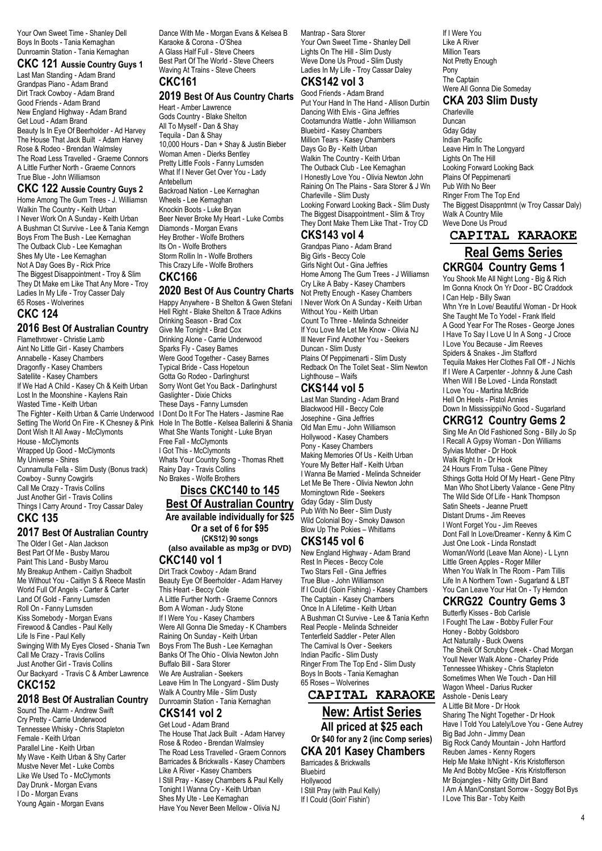Your Own Sweet Time - Shanley Dell Boys In Boots - Tania Kernaghan Dunroamin Station - Tania Kernaghan

**CKC 121 Aussie Country Guys 1** Last Man Standing - Adam Brand Grandpas Piano - Adam Brand Dirt Track Cowboy - Adam Brand Good Friends - Adam Brand New England Highway - Adam Brand Get Loud - Adam Brand Beauty Is In Eye Of Beerholder - Ad Harvey The House That Jack Built - Adam Harvey Rose & Rodeo - Brendan Walmsley The Road Less Travelled - Graeme Connors A Little Further North - Graeme Connors True Blue - John Williamson

#### **CKC 122 Aussie Country Guys 2**

Home Among The Gum Trees - J. Williamsn Walkin The Country - Keith Urban I Never Work On A Sunday - Keith Urban A Bushman Ct Survive - Lee & Tania Kerngn Boys From The Bush - Lee Kernaghan The Outback Club - Lee Kernaghan Shes My Ute - Lee Kernaghan Not A Day Goes By - Rick Price The Biggest Disappointment - Troy & Slim They Dt Make em Like That Any More - Troy Ladies In My Life - Troy Casser Daly 65 Roses - Wolverines

#### **CKC 124**

#### **2016 Best Of Australian Country**

Flamethrower - Christie Lamb Aint No Little Girl - Kasey Chambers Annabelle - Kasey Chambers Dragonfly - Kasey Chambers Satellite - Kasey Chambers If We Had A Child - Kasey Ch & Keith Urban Lost In the Moonshine - Kaylens Rain Wasted Time - Keith Urban The Fighter - Keith Urban & Carrie Underwood Setting The World On Fire - K Chesney & Pink Hole In The Bottle - Kelsea Ballerini & Shania Dont Wish It All Away - McClymonts House - McClymonts Wrapped Up Good - McClymonts My Universe - Shires Cunnamulla Fella - Slim Dusty (Bonus track) Cowboy - Sunny Cowgirls Call Me Crazy - Travis Collins Just Another Girl - Travis Collins Things I Carry Around - Troy Cassar Daley

## **CKC 135**

#### **2017 Best Of Australian Country**

The Older I Get - Alan Jackson Best Part Of Me - Busby Marou Paint This Land - Busby Marou My Breakup Anthem - Caitlyn Shadbolt Me Without You - Caitlyn S & Reece Mastin World Full Of Angels - Carter & Carter Land Of Gold - Fanny Lumsden Roll On - Fanny Lumsden Kiss Somebody - Morgan Evans Firewood & Candles - Paul Kelly Life Is Fine - Paul Kelly Swinging With My Eyes Closed - Shania Twn Call Me Crazy - Travis Collins Just Another Girl - Travis Collins Our Backyard - Travis C & Amber Lawrence **CKC152**

#### **2018 Best Of Australian Country**

Sound The Alarm - Andrew Swift Cry Pretty - Carrie Underwood Tennessee Whisky - Chris Stapleton Female - Keith Urban Parallel Line - Keith Urban My Wave - Keith Urban & Shy Carter Mustve Never Met - Luke Combs Like We Used To - McClymonts Day Drunk - Morgan Evans I Do - Morgan Evans Young Again - Morgan Evans

Dance With Me - Morgan Evans & Kelsea B Karaoke & Corona - O'Shea A Glass Half Full - Steve Cheers Best Part Of The World - Steve Cheers Waving At Trains - Steve Cheers **CKC161**

## **2019 Best Of Aus Country Charts**

Heart - Amber Lawrence Gods Country - Blake Shelton All To Myself - Dan & Shay Tequila - Dan & Shay 10,000 Hours - Dan + Shay & Justin Bieber Woman Amen - Dierks Bentley Pretty Little Fools - Fanny Lumsden What If I Never Get Over You - Lady Antebellum Backroad Nation - Lee Kernaghan Wheels - Lee Kernaghan

Knockin Boots - Luke Bryan Beer Never Broke My Heart - Luke Combs Diamonds - Morgan Evans Hey Brother - Wolfe Brothers Its On - Wolfe Brothers Storm Rollin In - Wolfe Brothers This Crazy Life - Wolfe Brothers **CKC166**

## **2020 Best Of Aus Country Charts**

Happy Anywhere - B Shelton & Gwen Stefani Hell Right - Blake Shelton & Trace Adkins Drinking Season - Brad Cox Give Me Tonight - Brad Cox Drinking Alone - Carrie Underwood Sparks Fly - Casey Barnes Were Good Together - Casey Barnes Typical Bride - Cass Hopetoun Gotta Go Rodeo - Darlinghurst Sorry Wont Get You Back - Darlinghurst Gaslighter - Dixie Chicks These Days - Fanny Lumsden I Dont Do It For The Haters - Jasmine Rae What She Wants Tonight - Luke Bryan Free Fall - McClymonts I Got This - McClymonts Whats Your Country Song - Thomas Rhett Rainy Day - Travis Collins No Brakes - Wolfe Brothers

#### **Discs CKC140 to 145 Best Of Australian Country Are available individually for \$25 Or a set of 6 for \$95**

**(CKS12) 90 songs (also available as mp3g or DVD) CKC140 vol 1**

# Dirt Track Cowboy - Adam Brand

Beauty Eye Of Beerholder - Adam Harvey This Heart - Beccy Cole A Little Further North - Graeme Connors Born A Woman - Judy Stone If I Were You - Kasey Chambers Were All Gonna Die Smeday - K Chambers Raining On Sunday - Keith Urban Boys From The Bush - Lee Kernaghan Banks Of The Ohio - Olivia Newton John Buffalo Bill - Sara Storer We Are Australian - Seekers Leave Him In The Longyard - Slim Dusty Walk A Country Mile - Slim Dusty Dunroamin Station - Tania Kernaghan

# **CKS141 vol 2**

Get Loud - Adam Brand The House That Jack Built - Adam Harvey Rose & Rodeo - Brendan Walmsley The Road Less Travelled - Graem Connors Barricades & Brickwalls - Kasey Chambers Like A River - Kasey Chambers I Still Pray - Kasey Chambers & Paul Kelly Tonight I Wanna Cry - Keith Urban Shes My Ute - Lee Kernaghan Have You Never Been Mellow - Olivia NJ

Mantrap - Sara Storer Your Own Sweet Time - Shanley Dell Lights On The Hill - Slim Dusty Weve Done Us Proud - Slim Dusty Ladies In My Life - Troy Cassar Daley

#### **CKS142 vol 3**

Good Friends - Adam Brand Put Your Hand In The Hand - Allison Durbin Dancing With Elvis - Gina Jeffries Cootamundra Wattle - John Williamson Bluebird - Kasey Chambers Million Tears - Kasey Chambers Days Go By - Keith Urban Walkin The Country - Keith Urban The Outback Club - Lee Kernaghan I Honestly Love You - Olivia Newton John Raining On The Plains - Sara Storer & J Wn Charleville - Slim Dusty Looking Forward Looking Back - Slim Dusty The Biggest Disappointment - Slim & Troy They Dont Make Them Like That - Troy CD

# **CKS143 vol 4**

Grandpas Piano - Adam Brand Big Girls - Beccy Cole Girls Night Out - Gina Jeffries Home Among The Gum Trees - J Williamsn Cry Like A Baby - Kasey Chambers Not Pretty Enough - Kasey Chambers I Never Work On A Sunday - Keith Urban Without You - Keith Urban Count To Three - Melinda Schneider If You Love Me Let Me Know - Olivia NJ Ill Never Find Another You - Seekers Duncan - Slim Dusty Plains Of Peppimenarti - Slim Dusty Redback On The Toilet Seat - Slim Newton Lighthouse – Waifs

#### **CKS144 vol 5**

Last Man Standing - Adam Brand Blackwood Hill - Beccy Cole Josephine - Gina Jeffries Old Man Emu - John Williamson Hollywood - Kasey Chambers Pony - Kasey Chambers Making Memories Of Us - Keith Urban Youre My Better Half - Keith Urban I Wanna Be Married - Melinda Schneider Let Me Be There - Olivia Newton John Morningtown Ride - Seekers Gday Gday - Slim Dusty Pub With No Beer - Slim Dusty Wild Colonial Boy - Smoky Dawson Blow Up The Pokies – Whitlams

#### **CKS145 vol 6**

New England Highway - Adam Brand Rest In Pieces - Beccy Cole Two Stars Fell - Gina Jeffries True Blue - John Williamson If I Could (Goin Fishing) - Kasey Chambers The Captain - Kasey Chambers Once In A Lifetime - Keith Urban A Bushman Ct Survive - Lee & Tania Kerhn Real People - Melinda Schneider Tenterfield Saddler - Peter Allen The Carnival Is Over - Seekers Indian Pacific - Slim Dusty Ringer From The Top End - Slim Dusty Boys In Boots - Tania Kernaghan 65 Roses – Wolverines

**CAPITAL KARAOKE New: Artist Series All priced at \$25 each Or \$40 for any 2 (inc Comp series) CKA 201 Kasey Chambers**

#### Barricades & Brickwalls Bluebird Hollywood I Still Pray (with Paul Kelly) If I Could (Goin' Fishin')

If I Were You Like A River Million Tears Not Pretty Enough Pony The Captain Were All Gonna Die Someday

## **CKA 203 Slim Dusty**

Charleville Duncan Gday Gday Indian Pacific Leave Him In The Longyard Lights On The Hill Looking Forward Looking Back Plains Of Peppimenarti Pub With No Beer Ringer From The Top End The Biggest Disappntmnt (w Troy Cassar Daly) Walk A Country Mile Weve Done Us Proud

# **CAPITAL KARAOKE Real Gems Series**

**CKRG04 Country Gems 1** You Shook Me All Night Long - Big & Rich

Im Gonna Knock On Yr Door - BC Craddock I Can Help - Billy Swan Whn Yre In Love/ Beautiful Woman - Dr Hook She Taught Me To Yodel - Frank Ifield A Good Year For The Roses - George Jones I Have To Say I Love U In A Song - J Croce I Love You Because - Jim Reeves Spiders & Snakes - Jim Stafford Tequila Makes Her Clothes Fall Off - J Nichls If I Were A Carpenter - Johnny & June Cash When Will I Be Loved - Linda Ronstadt I Love You - Martina McBride Hell On Heels - Pistol Annies Down In Mississippi/No Good - Sugarland

#### **CKRG12 Country Gems 2**

Sing Me An Old Fashioned Song - Billy Jo Sp I Recall A Gypsy Woman - Don Williams Sylvias Mother - Dr Hook Walk Right In - Dr Hook 24 Hours From Tulsa - Gene Pitney Sthings Gotta Hold Of My Heart - Gene Pitny Man Who Shot Liberty Valance - Gene Pitny The Wild Side Of Life - Hank Thompson Satin Sheets - Jeanne Pruett Distant Drums - Jim Reeves I Wont Forget You - Jim Reeves Dont Fall In Love/Dreamer - Kenny & Kim C Just One Look - Linda Ronstadt Woman/World (Leave Man Alone) - L Lynn Little Green Apples - Roger Miller When You Walk In The Room - Pam Tillis Life In A Northern Town - Sugarland & LBT You Can Leave Your Hat On - Ty Herndon

#### **CKRG22 Country Gems 3**

Butterfly Kisses - Bob Carlisle I Fought The Law - Bobby Fuller Four Honey - Bobby Goldsboro Act Naturally - Buck Owens The Sheik Of Scrubby Creek - Chad Morgan Youll Never Walk Alone - Charley Pride Tennessee Whiskey - Chris Stapleton Sometimes When We Touch - Dan Hill Wagon Wheel - Darius Rucker Asshole - Denis Leary A Little Bit More - Dr Hook Sharing The Night Together - Dr Hook Have I Told You Lately/Love You - Gene Autrey Big Bad John - Jimmy Dean Big Rock Candy Mountain - John Hartford Reuben James - Kenny Rogers Help Me Make It/Night - Kris Kristofferson Me And Bobby McGee - Kris Kristofferson Mr Bojangles - Nitty Gritty Dirt Band I Am A Man/Constant Sorrow - Soggy Bot Bys I Love This Bar - Toby Keith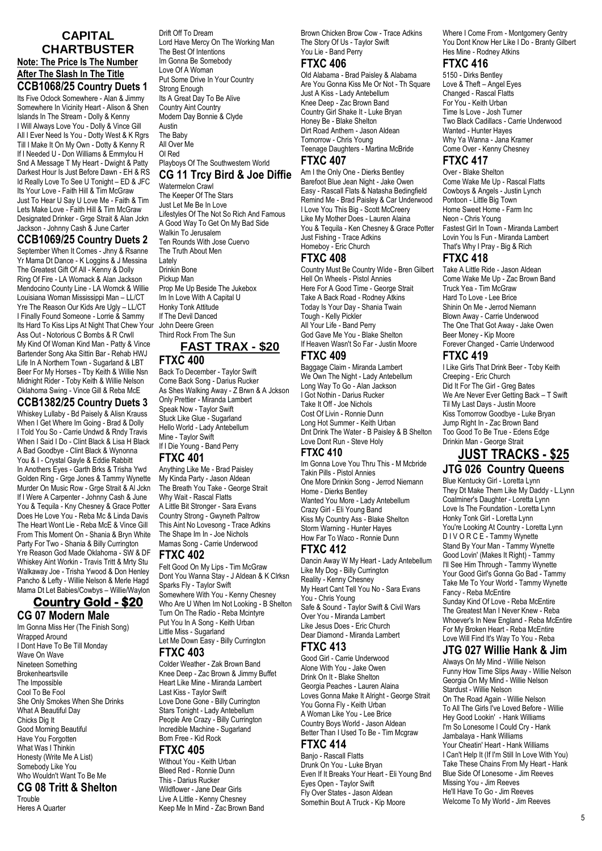### **CAPITAL CHARTBUSTER Note: The Price Is The Number After The Slash In The Title CCB1068/25 Country Duets 1**

Its Five Oclock Somewhere - Alan & Jimmy Somewhere In Vicinity Heart - Alison & Shen Islands In The Stream - Dolly & Kenny I Will Always Love You - Dolly & Vince Gill All I Ever Need Is You - Dotty West & K Rgrs Till I Make It On My Own - Dotty & Kenny R If I Needed U - Don Williams & Emmylou H Snd A Message T My Heart - Dwight & Patty Darkest Hour Is Just Before Dawn - EH & RS Id Really Love To See U Tonight – ED & JFC Its Your Love - Faith Hill & Tim McGraw Just To Hear U Say U Love Me - Faith & Tim Lets Make Love - Faith Hill & Tim McGraw Designated Drinker - Grge Strait & Alan Jckn Jackson - Johnny Cash & June Carter

## **CCB1069/25 Country Duets 2**

September When It Comes - Jhny & Rsanne Yr Mama Dt Dance - K Loggins & J Messina The Greatest Gift Of All - Kenny & Dolly Ring Of Fire - LA Womack & Alan Jackson Mendocino County Line - LA Womck & Willie Louisiana Woman Mississippi Man – LL/CT Yre The Reason Our Kids Are Ugly – LL/CT I Finally Found Someone - Lorrie & Sammy Its Hard To Kiss Lips At Night That Chew Your Ass Out - Notorious C Bombs & R Crwll My Kind Of Woman Kind Man - Patty & Vince Bartender Song Aka Sittin Bar - Rehab HWJ Life In A Northern Town - Sugarland & LBT Beer For My Horses - Tby Keith & Willie Nsn Midnight Rider - Toby Keith & Willie Nelson Oklahoma Swing - Vince Gill & Reba McE

#### **CCB1382/25 Country Duets 3**

Whiskey Lullaby - Bd Paisely & Alisn Krauss When I Get Where Im Going - Brad & Dolly I Told You So - Carrie Undwd & Rndy Travis When I Said I Do - Clint Black & Lisa H Black A Bad Goodbye - Clint Black & Wynonna You & I - Crystal Gayle & Eddie Rabbitt In Anothers Eyes - Garth Brks & Trisha Ywd Golden Ring - Grge Jones & Tammy Wynette Murder On Music Row - Grge Strait & Al Jckn If I Were A Carpenter - Johnny Cash & June You & Tequila - Kny Chesney & Grace Potter Does He Love You - Reba Mc & Linda Davis The Heart Wont Lie - Reba McE & Vince Gill From This Moment On - Shania & Bryn White Party For Two - Shania & Billy Currington

Yre Reason God Made Oklahoma - SW & DF Whiskey Aint Workin - Travis Tritt & Mrty Stu Walkaway Joe - Trisha Ywood & Don Henley Pancho & Lefty - Willie Nelson & Merle Hagd Mama Dt Let Babies/Cowbys – Willie/Waylon

# **Country Gold - \$20**

**CG 07 Modern Male** Im Gonna Miss Her (The Finish Song) Wranned Around

I Dont Have To Be Till Monday Wave On Wave Nineteen Something **Brokenheartsville** The Impossible Cool To Be Fool She Only Smokes When She Drinks What A Beautiful Day Chicks Dig It Good Morning Beautiful Have You Forgotten What Was I Thinkin Honesty (Write Me A List) Somebody Like You Who Wouldn't Want To Be Me

# **CG 08 Tritt & Shelton**

Trouble Heres A Quarter Drift Off To Dream Lord Have Mercy On The Working Man The Best Of Intentions Im Gonna Be Somebody Love Of A Woman Put Some Drive In Your Country Strong Enough Its A Great Day To Be Alive Country Aint Country Modern Day Bonnie & Clyde Austin The Baby All Over Me Ol Red Playboys Of The Southwestern World

# **CG 11 Trcy Bird & Joe Diffie**

Watermelon Crawl The Keeper Of The Stars Just Let Me Be In Love Lifestyles Of The Not So Rich And Famous A Good Way To Get On My Bad Side Walkin To Jerusalem Ten Rounds With Jose Cuervo The Truth About Men Lately Drinkin Bone Pickup Man Prop Me Up Beside The Jukebox Im In Love With A Capital U Honky Tonk Attitude If The Devil Danced John Deere Green Third Rock From The Sun **FAST TRAX - \$20**

# **FTXC 400**

Back To December - Taylor Swift Come Back Song - Darius Rucker As Shes Walking Away - Z Brwn & A Jckson Only Prettier - Miranda Lambert Speak Now - Taylor Swift Stuck Like Glue - Sugarland Hello World - Lady Antebellum Mine - Taylor Swift If I Die Young - Band Perry

#### **FTXC 401**

Anything Like Me - Brad Paisley My Kinda Party - Jason Aldean The Breath You Take - George Strait Why Wait - Rascal Flatts A Little Bit Stronger - Sara Evans Country Strong - Gwyneth Paltrow This Aint No Lovesong - Trace Adkins The Shape Im In - Joe Nichols Mamas Song - Carrie Underwood

#### **FTXC 402**

Felt Good On My Lips - Tim McGraw Dont You Wanna Stay - J Aldean & K Clrksn Sparks Fly - Taylor Swift Somewhere With You - Kenny Chesney Who Are U When Im Not Looking - B Shelton Turn On The Radio - Reba Mcintyre Put You In A Song - Keith Urban Little Miss - Sugarland

Let Me Down Easy - Billy Currington

## **FTXC 403**

Colder Weather - Zak Brown Band Knee Deep - Zac Brown & Jimmy Buffet Heart Like Mine - Miranda Lambert Last Kiss - Taylor Swift Love Done Gone - Billy Currington Stars Tonight - Lady Antebellum People Are Crazy - Billy Currington Incredible Machine - Sugarland Born Free - Kid Rock

#### **FTXC 405**

Without You - Keith Urban Bleed Red - Ronnie Dunn This - Darius Rucker Wildflower - Jane Dear Girls Live A Little - Kenny Chesney Keep Me In Mind - Zac Brown Band Brown Chicken Brow Cow - Trace Adkins The Story Of Us - Taylor Swift You Lie - Band Perry

# **FTXC 406**

Old Alabama - Brad Paisley & Alabama Are You Gonna Kiss Me Or Not - Th Square Just A Kiss - Lady Antebellum Knee Deep - Zac Brown Band Country Girl Shake It - Luke Bryan Honey Be - Blake Shelton Dirt Road Anthem - Jason Aldean Tomorrow - Chris Young Teenage Daughters - Martina McBride

## **FTXC 407**

Am I the Only One - Dierks Bentley Barefoot Blue Jean Night - Jake Owen Easy - Rascall Flats & Natasha Bedingfield Remind Me - Brad Paisley & Car Underwood I Love You This Big - Scott McCreery Like My Mother Does - Lauren Alaina You & Tequila - Ken Chesney & Grace Potter Just Fishing - Trace Adkins Homeboy - Eric Church

# **FTXC 408**

Country Must Be Country Wide - Bren Gilbert Hell On Wheels - Pistol Annies Here For A Good Time - George Strait Take A Back Road - Rodney Atkins Today Is Your Day - Shania Twain Tough - Kelly Pickler All Your Life - Band Perry God Gave Me You - Blake Shelton If Heaven Wasn't So Far - Justin Moore

## **FTXC 409**

Baggage Claim - Miranda Lambert We Own The Night - Lady Antebellum Long Way To Go - Alan Jackson I Got Nothin - Darius Rucker Take It Off - Joe Nichols Cost Of Livin - Ronnie Dunn Long Hot Summer - Keith Urban Dnt Drink The Water - B Paisley & B Shelton Love Dont Run - Steve Holy

#### **FTXC 410**

Im Gonna Love You Thru This - M Mcbride Takin Pills - Pistol Annies One More Drinkin Song - Jerrod Niemann Home - Dierks Bentley Wanted You More - Lady Antebellum Crazy Girl - Eli Young Band Kiss My Country Ass - Blake Shelton Storm Warning - Hunter Hayes How Far To Waco - Ronnie Dunn

## **FTXC 412**

Dancin Away W My Heart - Lady Antebellum Like My Dog - Billy Currington Reality - Kenny Chesney My Heart Cant Tell You No - Sara Evans You - Chris Young Safe & Sound - Taylor Swift & Civil Wars Over You - Miranda Lambert Like Jesus Does - Eric Church Dear Diamond - Miranda Lambert

# **FTXC 413**

Good Girl - Carrie Underwood Alone With You - Jake Owen Drink On It - Blake Shelton Georgia Peaches - Lauren Alaina Loves Gonna Make It Alright - George Strait You Gonna Fly - Keith Urban A Woman Like You - Lee Brice Country Boys World - Jason Aldean Better Than I Used To Be - Tim Mcgraw

# **FTXC 414**

Banjo - Rascall Flatts Drunk On You - Luke Bryan Even If It Breaks Your Heart - Eli Young Bnd Eyes Open - Taylor Swift Fly Over States - Jason Aldean Somethin Bout A Truck - Kip Moore

Where I Come From - Montgomery Gentry You Dont Know Her Like I Do - Branty Gilbert Hes Mine - Rodney Atkins

# **FTXC 416**

5150 - Dirks Bentley Love & Theft – Angel Eyes Changed - Rascal Flatts For You - Keith Urban Time Is Love - Josh Turner Two Black Cadillacs - Carrie Underwood Wanted - Hunter Hayes Why Ya Wanna - Jana Kramer Come Over - Kenny Chesney

# **FTXC 417**

Over - Blake Shelton Come Wake Me Up - Rascal Flatts Cowboys & Angels - Justin Lynch Pontoon - Little Big Town Home Sweet Home - Farm Inc Neon - Chris Young Fastest Girl In Town - Miranda Lambert Lovin You Is Fun - Miranda Lambert That's Why I Pray - Big & Rich

## **FTXC 418**

Take A Little Ride - Jason Aldean Come Wake Me Up - Zac Brown Band Truck Yea - Tim McGraw Hard To Love - Lee Brice Shinin On Me - Jerrod Niemann Blown Away - Carrie Underwood The One That Got Away - Jake Owen Beer Money - Kip Moore Forever Changed - Carrie Underwood

# **FTXC 419**

I Like Girls That Drink Beer - Toby Keith Creeping - Eric Church Did It For The Girl - Greg Bates We Are Never Ever Getting Back - T Swift Til My Last Days - Justin Moore Kiss Tomorrow Goodbye - Luke Bryan Jump Right In - Zac Brown Band Too Good To Be True - Edens Edge Drinkin Man - George Strait

# **JUST TRACKS - \$25 JTG 026 Country Queens**

Blue Kentucky Girl - Loretta Lynn They Dt Make Them Like My Daddy - L.Lynn Coalminer's Daughter - Loretta Lynn Love Is The Foundation - Loretta Lynn Honky Tonk Girl - Loretta Lynn You're Looking At Country - Loretta Lynn D I V O R C E - Tammy Wynette Stand By Your Man - Tammy Wynette Good Lovin' (Makes It Right) - Tammy I'll See Him Through - Tammy Wynette Your Good Girl's Gonna Go Bad - Tammy Take Me To Your World - Tammy Wynette Fancy - Reba McEntire Sunday Kind Of Love - Reba McEntire The Greatest Man I Never Knew - Reba Whoever's In New England - Reba McEntire For My Broken Heart - Reba McEntire Love Will Find It's Way To You - Reba

# **JTG 027 Willie Hank & Jim**

Always On My Mind - Willie Nelson Funny How Time Slips Away - Willie Nelson Georgia On My Mind - Willie Nelson Stardust - Willie Nelson On The Road Again - Willie Nelson To All The Girls I've Loved Before - Willie Hey Good Lookin' - Hank Williams I'm So Lonesome I Could Cry - Hank Jambalaya - Hank Williams Your Cheatin' Heart - Hank Williams I Can't Help It (If I'm Still In Love With You) Take These Chains From My Heart - Hank Blue Side Of Lonesome - Jim Reeves Missing You - Jim Reeves He'll Have To Go - Jim Reeves Welcome To My World - Jim Reeves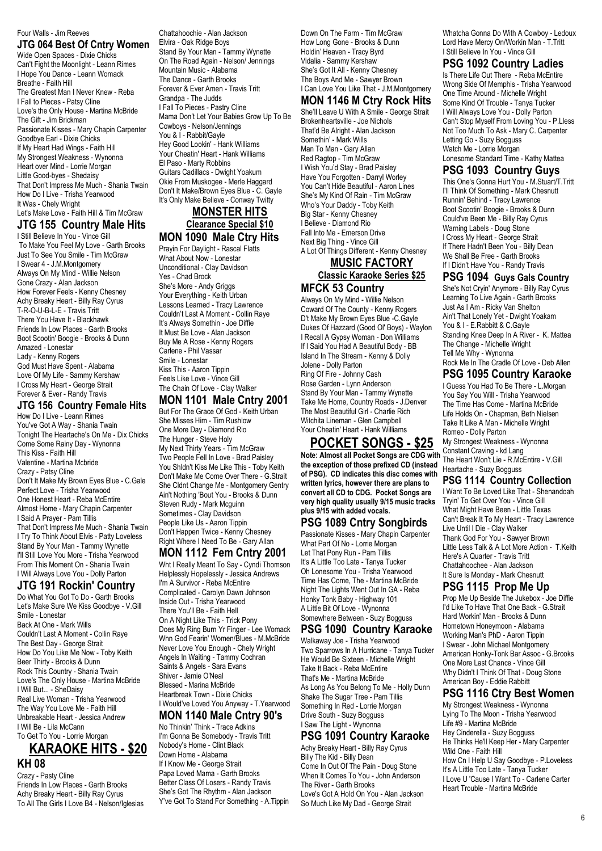Four Walls - Jim Reeves

**JTG 064 Best Of Cntry Women** Wide Open Spaces - Dixie Chicks Can't Fight the Moonlight - Leann Rimes I Hope You Dance - Leann Womack Breathe - Faith Hill The Greatest Man I Never Knew - Reba I Fall to Pieces - Patsy Cline Love's the Only House - Martina McBride The Gift - Jim Brickman Passionate Kisses - Mary Chapin Carpenter Goodbye Earl - Dixie Chicks If My Heart Had Wings - Faith Hill My Strongest Weakness - Wynonna Heart over Mind - Lorrie Morgan Little Good-byes - Shedaisy That Don't Impress Me Much - Shania Twain How Do I Live - Trisha Yearwood It Was - Chely Wright

#### Let's Make Love - Faith Hill & Tim McGraw **JTG 155 Country Male Hits**

I Still Believe In You - Vince Gill To Make You Feel My Love - Garth Brooks Just To See You Smile - Tim McGraw I Swear 4 - J.M.Montgomery Always On My Mind - Willie Nelson Gone Crazy - Alan Jackson How Forever Feels - Kenny Chesney Achy Breaky Heart - Billy Ray Cyrus T-R-O-U-B-L-E - Travis Tritt There You Have It - Blackhawk Friends In Low Places - Garth Brooks Boot Scootin' Boogie - Brooks & Dunn Amazed - Lonestar Lady - Kenny Rogers God Must Have Spent - Alabama Love Of My Life - Sammy Kershaw I Cross My Heart - George Strait Forever & Ever - Randy Travis **JTG 156 Country Female Hits** How Do I Live - Leann Rimes

#### You've Got A Way - Shania Twain Tonight The Heartache's On Me - Dix Chicks Come Some Rainy Day - Wynonna This Kiss - Faith Hill Valentine - Martina Mcbride Crazy - Patsy Cline Don't It Make My Brown Eyes Blue - C.Gale Perfect Love - Trisha Yearwood One Honest Heart - Reba McEntire Almost Home - Mary Chapin Carpenter I Said A Prayer - Pam Tillis That Don't Impress Me Much - Shania Twain I Try To Think About Elvis - Patty Loveless Stand By Your Man - Tammy Wynette I'll Still Love You More - Trisha Yearwood From This Moment On - Shania Twain I Will Always Love You - Dolly Parton

#### **JTG 191 Rockin' Country**

Do What You Got To Do - Garth Brooks Let's Make Sure We Kiss Goodbye - V.Gill Smile - Lonestar Back At One - Mark Wills Couldn't Last A Moment - Collin Raye The Best Day - George Strait How Do You Like Me Now - Toby Keith Beer Thirty - Brooks & Dunn Rock This Country - Shania Twain Love's The Only House - Martina McBride I Will But... - SheDaisy Real Live Woman - Trisha Yearwood The Way You Love Me - Faith Hill Unbreakable Heart - Jessica Andrew I Will Be - Lila McCann To Get To You - Lorrie Morgan

# **KARAOKE HITS - \$20 KH 08**

Crazy - Pasty Cline Friends In Low Places - Garth Brooks Achy Breaky Heart - Billy Ray Cyrus To All The Girls I Love B4 - Nelson/Iglesias Chattahoochie - Alan Jackson Elvira - Oak Ridge Boys Stand By Your Man - Tammy Wynette On The Road Again - Nelson/ Jennings Mountain Music - Alabama The Dance - Garth Brooks Forever & Ever Amen - Travis Tritt Grandpa - The Judds I Fall To Pieces - Pastry Cline Mama Don't Let Your Babies Grow Up To Be Cowboys - Nelson/Jennings You & I - Rabbit/Gayle Hey Good Lookin' - Hank Williams Your Cheatin' Heart - Hank Williams El Paso - Marty Robbins Guitars Cadillacs - Dwight Yoakum Okie From Muskogee - Merle Haggard Don't It Make/Brown Eyes Blue - C. Gayle It's Only Make Believe - Conway Twitty

#### **MONSTER HITS Clearance Special \$10 MON 1090 Male Ctry Hits**

Prayin For Daylight - Rascal Flatts What About Now - Lonestar Unconditional - Clay Davidson Yes - Chad Brock She's More - Andy Griggs Your Everything - Keith Urban Lessons Learned - Tracy Lawrence Couldn't Last A Moment - Collin Raye It's Always Somethin - Joe Diffie It Must Be Love - Alan Jackson Buy Me A Rose - Kenny Rogers Carlene - Phil Vassar Smile - Lonestar Kiss This - Aaron Tippin Feels Like Love - Vince Gill The Chain Of Love - Clay Walker

# **MON 1101 Male Cntry 2001**

But For The Grace Of God - Keith Urban She Misses Him - Tim Rushlow One More Day - Diamond Rio The Hunger - Steve Holv My Next Thirty Years - Tim McGraw Two People Fell In Love - Brad Paisley You Shldn't Kiss Me Like This - Toby Keith Don't Make Me Come Over There - G.Strait She Cldnt Change Me - Montgomery Gentry Ain't Nothing 'Bout You - Brooks & Dunn Steven Rudy - Mark Mcguinn Sometimes - Clay Davidson People Like Us - Aaron Tippin Don't Happen Twice - Kenny Chesney Right Where I Need To Be - Gary Allan

#### **MON 1112 Fem Cntry 2001**

Wht I Really Meant To Say - Cyndi Thomson Helplessly Hopelessly - Jessica Andrews I'm A Survivor - Reba McEntire Complicated - Carolyn Dawn Johnson Inside Out - Trisha Yearwood There You'll Be - Faith Hell On A Night Like This - Trick Pony Does My Ring Burn Yr Finger - Lee Womack Whn God Fearin' Women/Blues - M.McBride Never Love You Enough - Chely Wright Angels In Waiting - Tammy Cochran Saints & Angels - Sara Evans Shiver - Jamie O'Neal Blessed - Marina McBride Heartbreak Town - Dixie Chicks I Would've Loved You Anyway - T.Yearwood

#### **MON 1140 Male Cntry 90's** No Thinkin' Think - Trace Adkins

I'm Gonna Be Somebody - Travis Tritt Nobody's Home - Clint Black Down Home - Alabama If I Know Me - George Strait Papa Loved Mama - Garth Brooks Better Class Of Losers - Randy Travis She's Got The Rhythm - Alan Jackson Y've Got To Stand For Something - A.Tippin

Down On The Farm - Tim McGraw How Long Gone - Brooks & Dunn Holdin' Heaven - Tracy Byrd Vidalia - Sammy Kershaw She's Got It All - Kenny Chesney The Boys And Me - Sawyer Brown I Can Love You Like That - J.M.Montgomery

#### **MON 1146 M Ctry Rock Hits** She'll Leave U With A Smile - George Strait

Brokenheartsville - Joe Nichols That'd Be Alright - Alan Jackson Somethin' - Mark Wills Man To Man - Gary Allan Red Ragtop - Tim McGraw I Wish You'd Stay - Brad Paisley Have You Forgotten - Darryl Worley You Can't Hide Beautiful - Aaron Lines She's My Kind Of Rain - Tim McGraw Who's Your Daddy - Toby Keith Big Star - Kenny Chesney I Believe - Diamond Rio Fall Into Me - Emerson Drive Next Big Thing - Vince Gill A Lot Of Things Different - Kenny Chesney

# **MUSIC FACTORY Classic Karaoke Series \$25**

# **MFCK 53 Country**

Always On My Mind - Willie Nelson Coward Of The County - Kenny Rogers D't Make My Brown Eyes Blue -C.Gayle Dukes Of Hazzard (Good Ol' Boys) - Waylon I Recall A Gypsy Woman - Don Williams If I Said You Had A Beautiful Body - BB Island In The Stream - Kenny & Dolly Jolene - Dolly Parton Ring Of Fire - Johnny Cash Rose Garden - Lynn Anderson Stand By Your Man - Tammy Wynette Take Me Home, Country Roads - J.Denver The Most Beautiful Girl - Charlie Rich Witchita Lineman - Glen Campbell Your Cheatin' Heart - Hank Williams

## **POCKET SONGS - \$25**

**Note: Almost all Pocket Songs are CDG with the exception of those prefixed CD (instead of PSG). CD indicates this disc comes with written lyrics, however there are plans to convert all CD to CDG. Pocket Songs are very high quality usually 9/15 music tracks plus 9/15 with added vocals.**

# **PSG 1089 Cntry Songbirds**

Passionate Kisses - Mary Chapin Carpenter What Part Of No - Lorrie Morgan Let That Pony Run - Pam Tillis It's A Little Too Late - Tanya Tucker Oh Lonesome You - Trisha Yearwood Time Has Come, The - Martina McBride Night The Lights Went Out In GA - Reba Honky Tonk Baby - Highway 101 A Little Bit Of Love - Wynonna Somewhere Between - Suzy Bogguss

## **PSG 1090 Country Karaoke**

Walkaway Joe - Trisha Yearwood Two Sparrows In A Hurricane - Tanya Tucker He Would Be Sixteen - Michelle Wright Take It Back - Reba McEntire That's Me - Martina McBride As Long As You Belong To Me - Holly Dunn Shake The Sugar Tree - Pam Tillis Something In Red - Lorrie Morgan Drive South - Suzy Bogguss I Saw The Light - Wynonna

# **PSG 1091 Country Karaoke**

Achy Breaky Heart - Billy Ray Cyrus Billy The Kid - Billy Dean Come In Out Of The Pain - Doug Stone When It Comes To You - John Anderson The River - Garth Brooks Love's Got A Hold On You - Alan Jackson So Much Like My Dad - George Strait

Whatcha Gonna Do With A Cowboy - Ledoux Lord Have Mercy On/Workin Man - T.Tritt I Still Believe In You - Vince Gill

## **PSG 1092 Country Ladies**

Is There Life Out There - Reba McEntire Wrong Side Of Memphis - Trisha Yearwood One Time Around - Michelle Wright Some Kind Of Trouble - Tanya Tucker I Will Always Love You - Dolly Parton Can't Stop Myself From Loving You - P.Lless Not Too Much To Ask - Mary C. Carpenter Letting Go - Suzy Bogguss Watch Me - Lorrie Morgan Lonesome Standard Time - Kathy Mattea

# **PSG 1093 Country Guys**

This One's Gonna Hurt You - M.Stuart/T.Tritt I'll Think Of Something - Mark Chesnutt Runnin' Behind - Tracy Lawrence Boot Scootin' Boogie - Brooks & Dunn Could've Been Me - Billy Ray Cyrus Warning Labels - Doug Stone I Cross My Heart - George Strait If There Hadn't Been You - Billy Dean We Shall Be Free - Garth Brooks If I Didn't Have You - Randy Travis

#### **PSG 1094 Guys Gals Country**

She's Not Cryin' Anymore - Billy Ray Cyrus Learning To Live Again - Garth Brooks Just As I Am - Ricky Van Shelton Ain't That Lonely Yet - Dwight Yoakam You & I - E.Rabbitt & C.Gayle Standing Knee Deep In A River - K. Mattea The Change - Michelle Wright Tell Me Why - Wynonna Rock Me In The Cradle Of Love - Deb Allen

# **PSG 1095 Country Karaoke**

I Guess You Had To Be There - L.Morgan You Say You Will - Trisha Yearwood The Time Has Come - Martina McBride Life Holds On - Chapman, Beth Nielsen Take It Like A Man - Michelle Wright Romeo - Dolly Parton My Strongest Weakness - Wynonna Constant Craving - kd Lang The Heart Won't Lie - R.McEntire - V.Gill Heartache - Suzy Bogguss

## **PSG 1114 Country Collection**

I Want To Be Loved Like That - Shenandoah Tryin' To Get Over You - Vince Gill What Might Have Been - Little Texas Can't Break It To My Heart - Tracy Lawrence Live Until I Die - Clay Walker Thank God For You - Sawyer Brown Little Less Talk & A Lot More Action - T.Keith Here's A Quarter - Travis Tritt Chattahoochee - Alan Jackson It Sure Is Monday - Mark Chesnutt

#### **PSG 1115 Prop Me Up**

Prop Me Up Beside The Jukebox - Joe Diffie I'd Like To Have That One Back - G.Strait Hard Workin' Man - Brooks & Dunn Hometown Honeymoon - Alabama Working Man's PhD - Aaron Tippin I Swear - John Michael Montgomery American Honky-Tonk Bar Assoc - G.Brooks One More Last Chance - Vince Gill Why Didn't I Think Of That - Doug Stone American Boy - Eddie Rabbitt

# **PSG 1116 Ctry Best Women**

My Strongest Weakness - Wynonna Lying To The Moon - Trisha Yearwood Life #9 - Martina McBride Hey Cinderella - Suzy Bogguss He Thinks He'll Keep Her - Mary Carpenter Wild One - Faith Hill How Cn I Help U Say Goodbye - P.Loveless It's A Little Too Late - Tanya Tucker I Love U 'Cause I Want To - Carlene Carter Heart Trouble - Martina McBride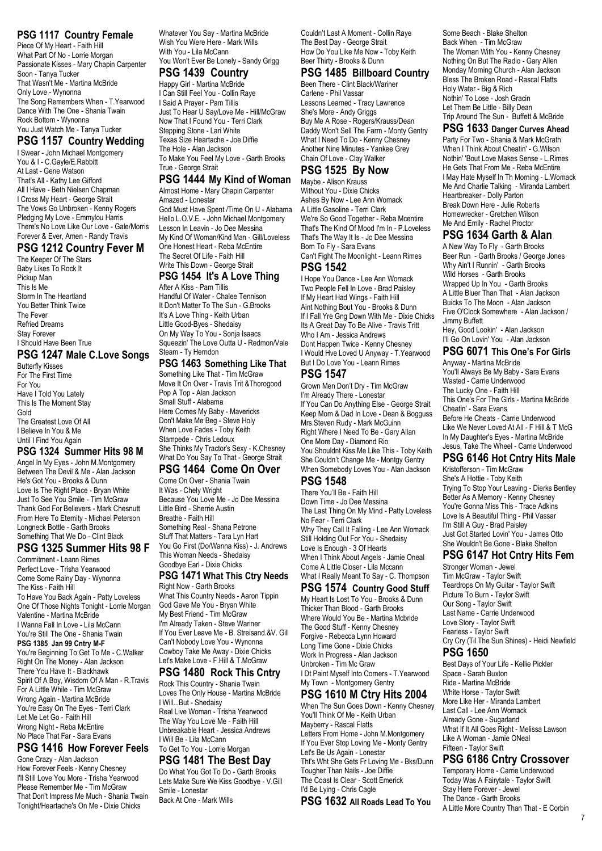#### **PSG 1117 Country Female**

Piece Of My Heart - Faith Hill What Part Of No - Lorrie Morgan Passionate Kisses - Mary Chapin Carpenter Soon - Tanya Tucker That Wasn't Me - Martina McBride Only Love - Wynonna The Song Remembers When - T.Yearwood Dance With The One - Shania Twain Rock Bottom - Wynonna You Just Watch Me - Tanya Tucker

#### **PSG 1157 Country Wedding**

I Swear - John Michael Montgomery You & I - C.Gayle/E.Rabbitt At Last - Gene Watson That's All - Kathy Lee Gifford All I Have - Beth Nielsen Chapman I Cross My Heart - George Strait The Vows Go Unbroken - Kenny Rogers Pledging My Love - Emmylou Harris There's No Love Like Our Love - Gale/Morris Forever & Ever, Amen - Randy Travis

#### **PSG 1212 Country Fever M**

The Keeper Of The Stars Baby Likes To Rock It Pickup Man This Is Me Storm In The Heartland You Better Think Twice The Fever Refried Dreams Stay Forever I Should Have Been True

# **PSG 1247 Male C.Love Songs**

Butterfly Kisses For The First Time For You Have I Told You Lately This Is The Moment Stay Gold The Greatest Love Of All I Believe In You & Me Until I Find You Again

#### **PSG 1324 Summer Hits 98 M**

Angel In My Eyes - John M.Montgomery Between The Devil & Me - Alan Jackson He's Got You - Brooks & Dunn Love Is The Right Place - Bryan White Just To See You Smile - Tim McGraw Thank God For Believers - Mark Chesnutt From Here To Eternity - Michael Peterson Longneck Bottle - Garth Brooks Something That We Do - Clint Black

# **PSG 1325 Summer Hits 98 F**

Commitment - Leann Rimes Perfect Love - Trisha Yearwood Come Some Rainy Day - Wynonna The Kiss - Faith Hill To Have You Back Again - Patty Loveless One Of Those Nights Tonight - Lorrie Morgan Valentine - Martina McBride I Wanna Fall In Love - Lila McCann You're Still The One - Shania Twain **PSG 1385 Jan 99 Cntry M-F** You're Beginning To Get To Me - C.Walker Right On The Money - Alan Jackson There You Have It - Blackhawk Spirit Of A Boy, Wisdom Of A Man - R.Travis For A Little While - Tim McGraw Wrong Again - Martina McBride You're Easy On The Eyes - Terri Clark Let Me Let Go - Faith Hill Wrong Night - Reba McEntire No Place That Far - Sara Evans

## **PSG 1416 How Forever Feels**

Gone Crazy - Alan Jackson How Forever Feels - Kenny Chesney I'll Still Love You More - Trisha Yearwood Please Remember Me - Tim McGraw That Don't Impress Me Much - Shania Twain Tonight/Heartache's On Me - Dixie Chicks

Whatever You Say - Martina McBride Wish You Were Here - Mark Wills With You - Lila McCann You Won't Ever Be Lonely - Sandy Grigg

## **PSG 1439 Country**

Happy Girl - Martina McBride I Can Still Feel You - Collin Raye I Said A Prayer - Pam Tillis Just To Hear U Say/Love Me - Hill/McGraw Now That I Found You - Terri Clark Stepping Stone - Lari White Texas Size Heartache - Joe Diffie The Hole - Alan Jackson To Make You Feel My Love - Garth Brooks True - George Strait

## **PSG 1444 My Kind of Woman**

Almost Home - Mary Chapin Carpenter Amazed - Lonestar God Must Have Spent /Time On U - Alabama Hello L.O.V.E. - John Michael Montgomery Lesson In Leavin - Jo Dee Messina My Kind Of Woman/Kind Man - Gill/Loveless One Honest Heart - Reba McEntire The Secret Of Life - Faith Hill Write This Down - George Strait

# **PSG 1454 It's A Love Thing**

After A Kiss - Pam Tillis Handful Of Water - Chalee Tennison It Don't Matter To The Sun - G.Brooks It's A Love Thing - Keith Urban Little Good-Byes - Shedaisy On My Way To You - Sonja Isaacs Squeezin' The Love Outta U - Redmon/Vale Steam - Ty Herndon

#### **PSG 1463 Something Like That**

Something Like That - Tim McGraw Move It On Over - Travis Trit &Thorogood Pop A Top - Alan Jackson Small Stuff - Alabama Here Comes My Baby - Mavericks Don't Make Me Beg - Steve Holy When Love Fades - Toby Keith Stampede - Chris Ledoux She Thinks My Tractor's Sexy - K.Chesney What Do You Say To That - George Strait

# **PSG 1464 Come On Over**

Come On Over - Shania Twain It Was - Chely Wright Because You Love Me - Jo Dee Messina Little Bird - Sherrie Austin Breathe - Faith Hill Something Real - Shana Petrone Stuff That Matters - Tara Lyn Hart You Go First (Do/Wanna Kiss) - J. Andrews This Woman Needs - Shedaisy Goodbye Earl - Dixie Chicks

#### **PSG 1471 What This Ctry Needs** Right Now - Garth Brooks

What This Country Needs - Aaron Tippin God Gave Me You - Bryan White My Best Friend - Tim McGraw I'm Already Taken - Steve Wariner If You Ever Leave Me - B. Streisand.&V. Gill Can't Nobody Love You - Wynonna Cowboy Take Me Away - Dixie Chicks Let's Make Love - F.Hill & T.McGraw

## **PSG 1480 Rock This Cntry**

Rock This Country - Shania Twain Loves The Only House - Martina McBride I Will...But - Shedaisy Real Live Woman - Trisha Yearwood The Way You Love Me - Faith Hill Unbreakable Heart - Jessica Andrews I Will Be - Lila McCann To Get To You - Lorrie Morgan

# **PSG 1481 The Best Day**

Do What You Got To Do - Garth Brooks Lets Make Sure We Kiss Goodbye - V.Gill Smile - Lonestar Back At One - Mark Wills

Couldn't Last A Moment - Collin Raye The Best Day - George Strait How Do You Like Me Now - Toby Keith Beer Thirty - Brooks & Dunn

#### **PSG 1485 Billboard Country**

Been There - Clint Black/Wariner Carlene - Phil Vassar Lessons Learned - Tracy Lawrence She's More - Andy Griggs Buy Me A Rose - Rogers/Krauss/Dean Daddy Won't Sell The Farm - Monty Gentry What I Need To Do - Kenny Chesney Another Nine Minutes - Yankee Grey Chain Of Love - Clay Walker

# **PSG 1525 By Now**

Maybe - Alison Krauss Without You - Dixie Chicks Ashes By Now - Lee Ann Womack A Little Gasoline - Terri Clark We're So Good Together - Reba Mcentire That's The Kind Of Mood I'm In - P.Loveless That's The Way It Is - Jo Dee Messina Born To Fly - Sara Evans Can't Fight The Moonlight - Leann Rimes

#### **PSG 1542**

I Hope You Dance - Lee Ann Womack Two People Fell In Love - Brad Paisley If My Heart Had Wings - Faith Hill Aint Nothing Bout You - Brooks & Dunn If I Fall Yre Gng Down With Me - Dixie Chicks Its A Great Day To Be Alive - Travis Tritt Who I Am - Jessica Andrews Dont Happen Twice - Kenny Chesney I Would Hve Loved U Anyway - T.Yearwood But I Do Love You - Leann Rimes

## **PSG 1547**

Grown Men Don't Dry - Tim McGraw I'm Already There - Lonestar If You Can Do Anything Else - George Strait Keep Mom & Dad In Love - Dean & Bogguss Mrs.Steven Rudy - Mark McGuinn Right Where I Need To Be - Gary Allan One More Day - Diamond Rio You Shouldnt Kiss Me Like This - Toby Keith She Couldn't Change Me - Montgy Gentry When Somebody Loves You - Alan Jackson **PSG 1548**

There You'll Be - Faith Hill Down Time - Jo Dee Messina The Last Thing On My Mind - Patty Loveless No Fear - Terri Clark Why They Call It Falling - Lee Ann Womack Still Holding Out For You - Shedaisy Love Is Enough - 3 Of Hearts When I Think About Angels - Jamie Oneal Come A Little Closer - Lila Mccann What I Really Meant To Say - C. Thompson

#### **PSG 1574 Country Good Stuff**

My Heart Is Lost To You - Brooks & Dunn Thicker Than Blood - Garth Brooks Where Would You Be - Martina Mcbride The Good Stuff - Kenny Chesney Forgive - Rebecca Lynn Howard Long Time Gone - Dixie Chicks Work In Progress - Alan Jackson Unbroken - Tim Mc Graw I Dt Paint Myself Into Corners - T.Yearwood My Town - Montgomery Gentry

#### **PSG 1610 M Ctry Hits 2004**

When The Sun Goes Down - Kenny Chesney You'll Think Of Me - Keith Urban Mayberry - Rascal Flatts Letters From Home - John M.Montgomery If You Ever Stop Loving Me - Monty Gentry Let's Be Us Again - Lonestar Tht's Wht She Gets Fr Loving Me - Bks/Dunn Tougher Than Nails - Joe Diffie The Coast Is Clear - Scott Emerick I'd Be Lying - Chris Cagle **PSG 1632 All Roads Lead To You**

Some Beach - Blake Shelton Back When - Tim McGraw The Woman With You - Kenny Chesney Nothing On But The Radio - Gary Allen Monday Morning Church - Alan Jackson Bless The Broken Road - Rascal Flatts Holy Water - Big & Rich Nothin' To Lose - Josh Gracin Let Them Be Little - Billy Dean Trip Around The Sun - Buffett & McBride

# **PSG 1633 Danger Curves Ahead**

Party For Two - Shania & Mark McGrath When I Think About Cheatin' - G.Wilson Nothin' 'Bout Love Makes Sense - L.Rimes He Gets That From Me - Reba McEntire I May Hate Myself In Th Morning - L.Womack Me And Charlie Talking - Miranda Lambert Heartbreaker - Dolly Parton Break Down Here - Julie Roberts Homewrecker - Gretchen Wilson Me And Emily - Rachel Proctor

## **PSG 1634 Garth & Alan**

A New Way To Fly - Garth Brooks Beer Run - Garth Brooks / George Jones Why Ain't I Runnin' - Garth Brooks Wild Horses - Garth Brooks Wrapped Up In You - Garth Brooks A Little Bluer Than That - Alan Jackson Buicks To The Moon - Alan Jackson Five O'Clock Somewhere - Alan Jackson / Jimmy Buffett Hey, Good Lookin' - Alan Jackson I'll Go On Lovin' You - Alan Jackson **PSG 6071 This One's For Girls**

Anyway - Martina McBride You'll Always Be My Baby - Sara Evans Wasted - Carrie Underwood The Lucky One - Faith Hill This One's For The Girls - Martina McBride Cheatin' - Sara Evans Before He Cheats - Carrie Underwood Like We Never Loved At All - F Hill & T McG In My Daughter's Eyes - Martina McBride Jesus, Take The Wheel - Carrie Underwood

#### **PSG 6146 Hot Cntry Hits Male**

Kristofferson - Tim McGraw She's A Hottie - Toby Keith Trying To Stop Your Leaving - Dierks Bentley Better As A Memory - Kenny Chesney You're Gonna Miss This - Trace Adkins Love Is A Beautiful Thing - Phil Vassar I'm Still A Guy - Brad Paisley Just Got Started Lovin' You - James Otto She Wouldn't Be Gone - Blake Shelton

# **PSG 6147 Hot Cntry Hits Fem**

Stronger Woman - Jewel Tim McGraw - Taylor Swift Teardrops On My Guitar - Taylor Swift Picture To Burn - Taylor Swift Our Song - Taylor Swift Last Name - Carrie Underwood Love Story - Taylor Swift Fearless - Taylor Swift Cry Cry (Til The Sun Shines) - Heidi Newfield

#### **PSG 1650**

Best Days of Your Life - Kellie Pickler Space - Sarah Buxton Ride - Martina McBride White Horse - Taylor Swift More Like Her - Miranda Lambert Last Call - Lee Ann Womack Already Gone - Sugarland What If It All Goes Right - Melissa Lawson Like A Woman - Jamie ONeal Fifteen - Taylor Swift

# **PSG 6186 Cntry Crossover**

Temporary Home - Carrie Underwood Today Was A Fairytale - Taylor Swift Stay Here Forever - Jewel The Dance - Garth Brooks A Little More Country Than That - E Corbin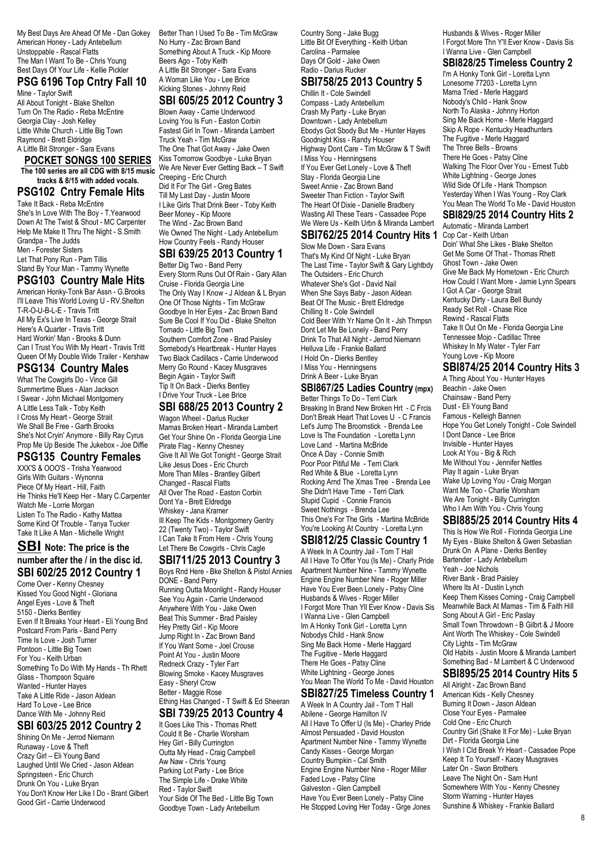My Best Days Are Ahead Of Me - Dan Gokey American Honey - Lady Antebellum Unstoppable - Rascal Flatts The Man I Want To Be - Chris Young Best Days Of Your Life - Kellie Pickler

# **PSG 6196 Top Cntry Fall 10**

Mine - Taylor Swift All About Tonight - Blake Shelton Turn On The Radio - Reba McEntire Georgia Clay - Josh Kelley Little White Church - Little Big Town Raymond - Brett Eldridge A Little Bit Stronger - Sara Evans

#### **POCKET SONGS 100 SERIES The 100 series are all CDG with 8/15 music tracks & 8/15 with added vocals.**

**PSG102 Cntry Female Hits** Take It Back - Reba McEntire She's In Love With The Boy - T.Yearwood Down At The Twist & Shout - MC Carpenter Help Me Make It Thru The Night - S.Smith Grandpa - The Judds Men - Forester Sisters Let That Pony Run - Pam Tillis Stand By Your Man - Tammy Wynette

#### **PSG103 Country Male Hits**

American Honky-Tonk Bar Assn - G.Brooks I'll Leave This World Loving U - RV.Shelton T-R-O-U-B-L-E - Travis Tritt All My Ex's Live In Texas - George Strait Here's A Quarter - Travis Tritt Hard Workin' Man - Brooks & Dunn Can I Trust You With My Heart - Travis Tritt Queen Of My Double Wide Trailer - Kershaw

#### **PSG134 Country Males**

What The Cowgirls Do - Vince Gill Summertime Blues - Alan Jackson I Swear - John Michael Montgomery A Little Less Talk - Toby Keith I Cross My Heart - George Strait We Shall Be Free - Garth Brooks She's Not Cryin' Anymore - Billy Ray Cyrus Prop Me Up Beside The Jukebox - Joe Diffie

## **PSG135 Country Females**

XXX'S & OOO'S - Trisha Yearwood Girls With Guitars - Wynonna Piece Of My Heart - Hill, Faith He Thinks He'll Keep Her - Mary C.Carpenter Watch Me - Lorrie Morgan Listen To The Radio - Kathy Mattea Some Kind Of Trouble - Tanya Tucker Take It Like A Man - Michelle Wright

## **SBI Note: The price is the number after the / in the disc id. SBI 602/25 2012 Country 1**

Come Over - Kenny Chesney Kissed You Good Night - Gloriana Angel Eyes - Love & Theft 5150 - Dierks Bentley Even If It Breaks Your Heart - Eli Young Bnd Postcard From Paris - Band Perry Time Is Love - Josh Turner Pontoon - Little Big Town For You - Keith Urban Something To Do With My Hands - Th Rhett Glass - Thompson Square Wanted - Hunter Hayes Take A Little Ride - Jason Aldean Hard To Love - Lee Brice Dance With Me - Johnny Reid

## **SBI 603/25 2012 Country 2**

Shining On Me - Jerrod Niemann Runaway - Love & Theft Crazy Girl – Eli Young Band Laughed Until We Cried - Jason Aldean Springsteen - Eric Church Drunk On You - Luke Bryan You Don't Know Her Like I Do - Brant Gilbert Good Girl - Carrie Underwood

Better Than I Used To Be - Tim McGraw No Hurry - Zac Brown Band Something About A Truck - Kip Moore Beers Ago - Toby Keith A Little Bit Stronger - Sara Evans A Woman Like You - Lee Brice Kicking Stones - Johnny Reid

# **SBI 605/25 2012 Country 3**

Blown Away - Carrie Underwood Loving You Is Fun - Easton Corbin Fastest Girl In Town - Miranda Lambert Truck Yeah - Tim McGraw The One That Got Away - Jake Owen Kiss Tomorrow Goodbye - Luke Bryan We Are Never Ever Getting Back - T Swift Creeping - Eric Church Did It For The Girl - Greg Bates Till My Last Day - Justin Moore I Like Girls That Drink Beer - Toby Keith Beer Money - Kip Moore The Wind - Zac Brown Band We Owned The Night - Lady Antebellum How Country Feels - Randy Houser

# **SBI 639/25 2013 Country 1**

Better Dig Two - Band Perry Every Storm Runs Out Of Rain - Gary Allan Cruise - Florida Georgia Line The Only Way I Know - J Aldean & L Bryan One Of Those Nights - Tim McGraw Goodbye In Her Eyes - Zac Brown Band Sure Be Cool If You Did - Blake Shelton Tornado - Little Big Town Southern Comfort Zone - Brad Paisley Somebody's Heartbreak - Hunter Hayes Two Black Cadillacs - Carrie Underwood Merry Go Round - Kacey Musgraves Begin Again - Taylor Swift Tip It On Back - Dierks Bentley I Drive Your Truck - Lee Brice

#### **SBI 688/25 2013 Country 2** Wagon Wheel - Darius Rucker

Mamas Broken Heart - Miranda Lambert Get Your Shine On - Florida Georgia Line Pirate Flag - Kenny Chesney Give It All We Got Tonight - George Strait Like Jesus Does - Eric Church More Than Miles - Brantley Gilbert Changed - Rascal Flatts All Over The Road - Easton Corbin Dont Ya - Brett Eldredge Whiskey - Jana Kramer Ill Keep The Kids - Montgomery Gentry 22 (Twenty Two) - Taylor Swift I Can Take It From Here - Chris Young Let There Be Cowgirls - Chris Cagle

## **SBI711/25 2013 Country 3**

Boys Rnd Here - Bke Shelton & Pistol Annies DONE - Band Perry Running Outta Moonlight - Randy Houser See You Again - Carrie Underwood Anywhere With You - Jake Owen Beat This Summer - Brad Paisley Hey Pretty Girl - Kip Moore Jump Right In - Zac Brown Band If You Want Some - Joel Crouse Point At You - Justin Moore Redneck Crazy - Tyler Farr Blowing Smoke - Kacey Musgraves Easy - Sheryl Crow Better - Maggie Rose Ething Has Changed - T Swift & Ed Sheeran **SBI 739/25 2013 Country 4**

# It Goes Like This - Thomas Rhett

Could It Be - Charlie Worsham Hey Girl - Billy Currington Outta My Head - Craig Campbell Aw Naw - Chris Young Parking Lot Party - Lee Brice The Simple Life - Drake White Red - Taylor Swift Your Side Of The Bed - Little Big Town Goodbye Town - Lady Antebellum

Country Song - Jake Bugg Little Bit Of Everything - Keith Urban Carolina - Parmalee Days Of Gold - Jake Owen Radio - Darius Rucker

# **SBI758/25 2013 Country 5**

Chillin It - Cole Swindell Compass - Lady Antebellum Crash My Party - Luke Bryan Downtown - Lady Antebellum Ebodys Got Sbody But Me - Hunter Hayes Goodnight Kiss - Randy Houser Highway Dont Care - Tim McGraw & T Swift I Miss You - Henningsens If You Ever Get Lonely - Love & Theft Stay - Florida Georgia Line Sweet Annie - Zac Brown Band Sweeter Than Fiction - Taylor Swift The Heart Of Dixie - Danielle Bradbery Wasting All These Tears - Cassadee Pope We Were Us - Keith Urbn & Miranda Lambert

# **SBI762/25 2014 Country Hits 1**

Slow Me Down - Sara Evans That's My Kind Of Night - Luke Bryan The Last Time - Taylor Swift & Gary Lightbdy The Outsiders - Eric Church Whatever She's Got - David Nail When She Says Baby - Jason Aldean Beat Of The Music - Brett Eldredge Chilling It - Cole Swindell Cold Beer With Yr Name On It - Jsh Thmpsn Dont Let Me Be Lonely - Band Perry Drink To That All Night - Jerrod Niemann Helluva Life - Frankie Ballard I Hold On - Dierks Bentley I Miss You - Henningsens Drink A Beer - Luke Bryan

#### **SBI867/25 Ladies Country (mpx)** Better Things To Do - Terri Clark

Breaking In Brand New Broken Hrt - C Frcis Don't Break Heart That Loves U - C Francis Let's Jump The Broomstick - Brenda Lee Love Is The Foundation - Loretta Lynn Love Land - Martina McBride Once A Day - Connie Smith Poor Poor Pitiful Me - Terri Clark Red White & Blue - Loretta Lynn Rocking Arnd The Xmas Tree - Brenda Lee She Didn't Have Time - Terri Clark Stupid Cupid - Connie Francis Sweet Nothings - Brenda Lee This One's For The Girls - Martina McBride You're Looking At Country - Loretta Lynn

#### **SBI812/25 Classic Country 1**

A Week In A Country Jail - Tom T Hall All I Have To Offer You (Is Me) - Charly Pride Apartment Number Nine - Tammy Wynette Engine Engine Number Nine - Roger Miller Have You Ever Been Lonely - Patsy Cline Husbands & Wives - Roger Miller I Forgot More Than Yll Ever Know - Davis Sis I Wanna Live - Glen Campbell Im A Honky Tonk Girl - Loretta Lynn Nobodys Child - Hank Snow Sing Me Back Home - Merle Haggard The Fugitive - Merle Haggard There He Goes - Patsy Cline White Lightning - George Jones You Mean The World To Me - David Houston

#### **SBI827/25 Timeless Country 1**

A Week In A Country Jail - Tom T Hall Abilene - George Hamilton IV All I Have To Offer U (Is Me) - Charley Pride Almost Persuaded - David Houston Apartment Number Nine - Tammy Wynette Candy Kisses - George Morgan Country Bumpkin - Cal Smith Engine Engine Number Nine - Roger Miller Faded Love - Patsy Cline Galveston - Glen Campbell Have You Ever Been Lonely - Patsy Cline He Stopped Loving Her Today - Grge Jones Husbands & Wives - Roger Miller I Forgot More Thn Y'll Ever Know - Davis Sis I Wanna Live - Glen Campbell

#### **SBI828/25 Timeless Country 2**

I'm A Honky Tonk Girl - Loretta Lynn Lonesome 77203 - Loretta Lynn Mama Tried - Merle Haggard Nobody's Child - Hank Snow North To Alaska - Johnny Horton Sing Me Back Home - Merle Haggard Skip A Rope - Kentucky Headhunters The Fugitive - Merle Haggard The Three Bells - Browns There He Goes - Patsy Cline Walking The Floor Over You - Ernest Tubb White Lightning - George Jones Wild Side Of Life - Hank Thompson Yesterday When I Was Young - Roy Clark You Mean The World To Me - David Houston **SBI829/25 2014 Country Hits 2**

# Automatic - Miranda Lambert

Cop Car - Keith Urban Doin' What She Likes - Blake Shelton Get Me Some Of That - Thomas Rhett Ghost Town - Jake Owen Give Me Back My Hometown - Eric Church How Could I Want More - Jamie Lynn Spears I Got A Car - George Strait Kentucky Dirty - Laura Bell Bundy Ready Set Roll - Chase Rice Rewind - Rascal Flatts Take It Out On Me - Florida Georgia Line Tennessee Mojo - Cadillac Three Whiskey In My Water - Tyler Farr Young Love - Kip Moore

#### **SBI874/25 2014 Country Hits 3**

A Thing About You - Hunter Hayes Beachin - Jake Owen Chainsaw - Band Perry Dust - Eli Young Band Famous - Kelleigh Bannen Hope You Get Lonely Tonight - Cole Swindell I Dont Dance - Lee Brice Invisible - Hunter Hayes Look At You - Big & Rich Me Without You - Jennifer Nettles Play It again - Luke Bryan Wake Up Loving You - Craig Morgan Want Me Too - Charlie Worsham We Are Tonight - Billy Currington Who I Am With You - Chris Young

#### **SBI885/25 2014 Country Hits 4**

This Is How We Roll - Florinda Georgia Line My Eyes - Blake Shelton & Gwen Sebastian Drunk On A Plane - Dierks Bentley Bartender - Lady Antebellum Yeah - Joe Nichols River Bank - Brad Paisley Where Its At - Dustin Lynch Keep Them Kisses Coming - Craig Campbell Meanwhile Back At Mamas - Tim & Faith Hill Song About A Girl - Eric Paslay Small Town Throwdown - B Gilbrt & J Moore Aint Worth The Whiskey - Cole Swindell City Lights - Tim McGraw Old Habits - Justin Moore & Miranda Lambert Something Bad - M Lambert & C Underwood

# **SBI895/25 2014 Country Hits 5**

All Alright - Zac Brown Band American Kids - Kelly Chesney Burning It Down - Jason Aldean Close Your Eyes - Parmalee Cold One - Eric Church Country Girl (Shake It For Me) - Luke Bryan Dirt - Florida Georgia Line I Wish I Cld Break Yr Heart - Cassadee Pope Keep It To Yourself - Kacey Musgraves Later On - Swon Brothers Leave The Night On - Sam Hunt Somewhere With You - Kenny Chesney Storm Warning - Hunter Hayes Sunshine & Whiskey - Frankie Ballard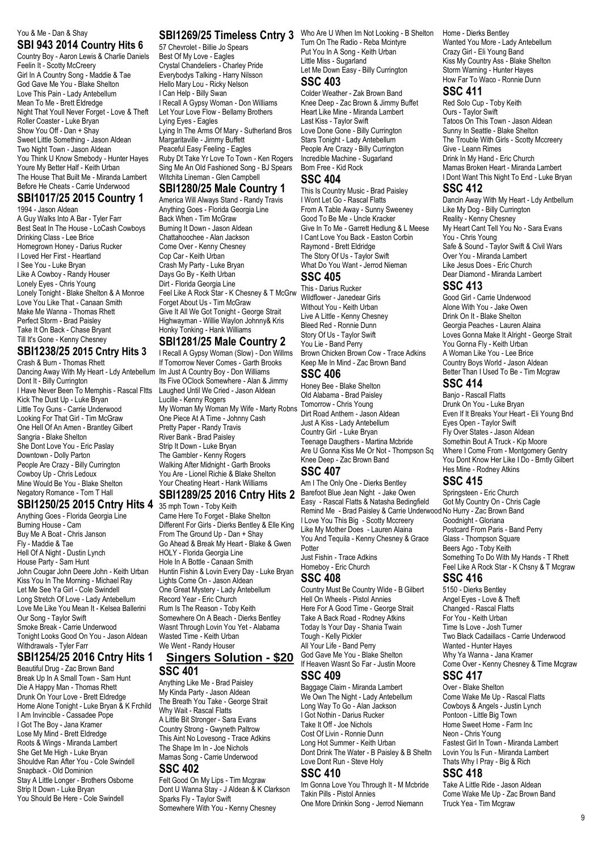#### You & Me - Dan & Shay **SBI 943 2014 Country Hits 6**

Country Boy - Aaron Lewis & Charlie Daniels Feelin It - Scotty McCreery Girl In A Country Song - Maddie & Tae God Gave Me You - Blake Shelton Love This Pain - Lady Antebellum Mean To Me - Brett Eldredge Night That Youll Never Forget - Love & Theft Roller Coaster - Luke Bryan Show You Off - Dan + Shay Sweet Little Something - Jason Aldean Two Night Town - Jason Aldean You Think U Know Smebody - Hunter Hayes Youre My Better Half - Keith Urban The House That Built Me - Miranda Lambert Before He Cheats - Carrie Underwood **SBI1017/25 2015 Country 1**

1994 - Jason Aldean A Guy Walks Into A Bar - Tyler Farr Best Seat In The House - LoCash Cowboys Drinking Class - Lee Brice Homegrown Honey - Darius Rucker I Loved Her First - Heartland I See You - Luke Bryan Like A Cowboy - Randy Houser Lonely Eyes - Chris Young Lonely Tonight - Blake Shelton & A Monroe Love You Like That - Canaan Smith Make Me Wanna - Thomas Rhett Perfect Storm - Brad Paisley Take It On Back - Chase Bryant Till It's Gone - Kenny Chesney

# **SBI1238/25 2015 Cntry Hits 3**

Crash & Burn - Thomas Rhett Dancing Away With My Heart - Ldy Antebellum Dont It - Billy Currington I Have Never Been To Memphis - Rascal Fltts Kick The Dust Up - Luke Bryan Little Toy Guns - Carrie Underwood Looking For That Girl - Tim McGraw One Hell Of An Amen - Brantley Gilbert Sangria - Blake Shelton She Dont Love You - Eric Paslay Downtown - Dolly Parton People Are Crazy - Billy Currington Cowboy Up - Chris Ledoux Mine Would Be You - Blake Shelton Negatory Romance - Tom T Hall

# **SBI1250/25 2015 Cntry Hits 4**

Anything Goes - Florida Georgia Line Burning House - Cam Buy Me A Boat - Chris Janson Fly - Maddie & Tae Hell Of A Night - Dustin Lynch House Party - Sam Hunt John Cougar John Deere John - Keith Urban Kiss You In The Morning - Michael Ray Let Me See Ya Girl - Cole Swindell Long Stretch Of Love - Lady Antebellum Love Me Like You Mean It - Kelsea Ballerini Our Song - Taylor Swift Smoke Break - Carrie Underwood Tonight Looks Good On You - Jason Aldean Withdrawals - Tyler Farr

# **SBI1254/25 2016 Cntry Hits 1**

Beautiful Drug - Zac Brown Band Break Up In A Small Town - Sam Hunt Die A Happy Man - Thomas Rhett Drunk On Your Love - Brett Eldredge Home Alone Tonight - Luke Bryan & K Frchild I Am Invincible - Cassadee Pope I Got The Boy - Jana Kramer Lose My Mind - Brett Eldredge Roots & Wings - Miranda Lambert She Get Me High - Luke Bryan Shouldve Ran After You - Cole Swindell Snapback - Old Dominion Stay A Little Longer - Brothers Osborne Strip It Down - Luke Bryan You Should Be Here - Cole Swindell

# **SBI1269/25 Timeless Cntry 3** Who Are U When Im Not Looking - B Shelton

57 Chevrolet - Billie Jo Spears Best Of My Love - Eagles Crystal Chandeliers - Charley Pride Everybodys Talking - Harry Nilsson Hello Mary Lou - Ricky Nelson I Can Help - Billy Swan I Recall A Gypsy Woman - Don Williams Let Your Love Flow - Bellamy Brothers Lying Eyes - Eagles Lying In The Arms Of Mary - Sutherland Bros Margaritaville - Jimmy Buffett Peaceful Easy Feeling - Eagles Ruby Dt Take Yr Love To Town - Ken Rogers Sing Me An Old Fashioned Song - BJ Spears Witchita Lineman - Glen Campbell

# **SBI1280/25 Male Country 1**

America Will Always Stand - Randy Travis Anything Goes - Florida Georgia Line Back When - Tim McGraw Burning It Down - Jason Aldean Chattahoochee - Alan Jackson Come Over - Kenny Chesney Cop Car - Keith Urban Crash My Party - Luke Bryan Days Go By - Keith Urban Dirt - Florida Georgia Line Feel Like A Rock Star - K Chesney & T McGrw Forget About Us - Tim McGraw Give It All We Got Tonight - George Strait Highwayman - Willie Waylon Johnny& Kris Honky Tonking - Hank Williams

## **SBI1281/25 Male Country 2**

I Recall A Gypsy Woman (Slow) - Don Willms If Tomorrow Never Comes - Garth Brooks Im Just A Country Boy - Don Williams Its Five OClock Somewhere - Alan & Jimmy Laughed Until We Cried - Jason Aldean Lucille - Kenny Rogers My Woman My Woman My Wife - Marty Robns One Piece At A Time - Johnny Cash Pretty Paper - Randy Travis River Bank - Brad Paisley Strip It Down - Luke Bryan The Gambler - Kenny Rogers Walking After Midnight - Garth Brooks You Are - Lionel Richie & Blake Shelton Your Cheating Heart - Hank Williams

# **SBI1289/25 2016 Cntry Hits 2**

35 mph Town - Toby Keith Came Here To Forget - Blake Shelton Different For Girls - Dierks Bentley & Elle King From The Ground Up - Dan + Shay Go Ahead & Break My Heart - Blake & Gwen HOLY - Florida Georgia Line Hole In A Bottle - Canaan Smith Huntin Fishin & Lovin Every Day - Luke Bryan Lights Come On - Jason Aldean One Great Mystery - Lady Antebellum Record Year - Eric Church Rum Is The Reason - Toby Keith Somewhere On A Beach - Dierks Bentley Wasnt Through Lovin You Yet - Alabama Wasted Time - Keith Urban We Went - Randy Houser

#### **Singers Solution - \$20 SSC 401**

Anything Like Me - Brad Paisley My Kinda Party - Jason Aldean The Breath You Take - George Strait Why Wait - Rascal Flatts A Little Bit Stronger - Sara Evans Country Strong - Gwyneth Paltrow This Aint No Lovesong - Trace Adkins The Shape Im In - Joe Nichols Mamas Song - Carrie Underwood

#### **SSC 402**

Felt Good On My Lips - Tim Mcgraw Dont U Wanna Stay - J Aldean & K Clarkson Sparks Fly - Taylor Swift Somewhere With You - Kenny Chesney

Turn On The Radio - Reba Mcintyre Put You In A Song - Keith Urban Little Miss - Sugarland Let Me Down Easy - Billy Currington

## **SSC 403**

Colder Weather - Zak Brown Band Knee Deep - Zac Brown & Jimmy Buffet Heart Like Mine - Miranda Lambert Last Kiss - Taylor Swift Love Done Gone - Billy Currington Stars Tonight - Lady Antebellum People Are Crazy - Billy Currington Incredible Machine - Sugarland Born Free - Kid Rock

## **SSC 404**

This Is Country Music - Brad Paisley I Wont Let Go - Rascal Flatts From A Table Away - Sunny Sweeney Good To Be Me - Uncle Kracker Give In To Me - Garrett Hedlung & L Meese I Cant Love You Back - Easton Corbin Raymond - Brett Eldridge The Story Of Us - Taylor Swift What Do You Want - Jerrod Nieman

## **SSC 405**

This - Darius Rucker Wildflower - Janedear Girls Without You - Keith Urban Live A Little - Kenny Chesney Bleed Red - Ronnie Dunn Story Of Us - Taylor Swift You Lie - Band Perry Brown Chicken Brown Cow - Trace Adkins Keep Me In Mind - Zac Brown Band **SSC 406**

Honey Bee - Blake Shelton Old Alabama - Brad Paisley Tomorrow - Chris Young Dirt Road Anthem - Jason Aldean Just A Kiss - Lady Antebellum Country Girl - Luke Bryan Teenage Daugthers - Martina Mcbride Are U Gonna Kiss Me Or Not - Thompson Sq Knee Deep - Zac Brown Band

## **SSC 407**

Am I The Only One - Dierks Bentley Barefoot Blue Jean Night - Jake Owen Easy - Rascal Flatts & Natasha Bedingfield Remind Me - Brad Paisley & Carrie Underwood No Hurry - Zac Brown Band I Love You This Big - Scotty Mccreery Like My Mother Does - Lauren Alaina You And Tequila - Kenny Chesney & Grace Potter Just Fishin - Trace Adkins Homeboy - Eric Church

#### **SSC 408**

Country Must Be Country Wide - B Gilbert Hell On Wheels - Pistol Annies Here For A Good Time - George Strait Take A Back Road - Rodney Atkins Today Is Your Day - Shania Twain Tough - Kelly Pickler All Your Life - Band Perry God Gave Me You - Blake Shelton If Heaven Wasnt So Far - Justin Moore

#### **SSC 409**

Baggage Claim - Miranda Lambert We Own The Night - Lady Antebellum Long Way To Go - Alan Jackson I Got Nothin - Darius Rucker Take It Off - Joe Nichols Cost Of Livin - Ronnie Dunn Long Hot Summer - Keith Urban Dont Drink The Water - B Paisley & B Sheltn Love Dont Run - Steve Holy

## **SSC 410**

Im Gonna Love You Through It - M Mcbride Takin Pills - Pistol Annies One More Drinkin Song - Jerrod Niemann

Home - Dierks Bentley Wanted You More - Lady Antebellum Crazy Girl - Eli Young Band Kiss My Country Ass - Blake Shelton Storm Warning - Hunter Hayes How Far To Waco - Ronnie Dunn

#### **SSC 411**

Red Solo Cup - Toby Keith Ours - Taylor Swift Tatoos On This Town - Jason Aldean Sunny In Seattle - Blake Shelton The Trouble With Girls - Scotty Mccreery Give - Leann Rimes Drink In My Hand - Eric Church Mamas Broken Heart - Miranda Lambert I Dont Want This Night To End - Luke Bryan

#### **SSC 412**

Dancin Away With My Heart - Ldy Antbellum Like My Dog - Billy Currington Reality - Kenny Chesney My Heart Cant Tell You No - Sara Evans You - Chris Young Safe & Sound - Taylor Swift & Civil Wars Over You - Miranda Lambert Like Jesus Does - Eric Church Dear Diamond - Miranda Lambert

#### **SSC 413**

Good Girl - Carrie Underwood Alone With You - Jake Owen Drink On It - Blake Shelton Georgia Peaches - Lauren Alaina Loves Gonna Make It Alright - George Strait You Gonna Fly - Keith Urban A Woman Like You - Lee Brice Country Boys World - Jason Aldean Better Than I Used To Be - Tim Mcgraw

## **SSC 414**

Banjo - Rascall Flatts Drunk On You - Luke Bryan Even If It Breaks Your Heart - Eli Young Bnd Eyes Open - Taylor Swift Fly Over States - Jason Aldean Somethin Bout A Truck - Kip Moore Where I Come From - Montgomery Gentry You Dont Know Her Like I Do - Brntly Gilbert Hes Mine - Rodney Atkins

# **SSC 415**

Springsteen - Eric Church Got My Country On - Chris Cagle Goodnight - Gloriana Postcard From Paris - Band Perry Glass - Thompson Square Beers Ago - Toby Keith Something To Do With My Hands - T Rhett Feel Like A Rock Star - K Chsny & T Mcgraw

#### **SSC 416**

5150 - Dierks Bentley Angel Eyes - Love & Theft Changed - Rascal Flatts For You - Keith Urban Time Is Love - Josh Turner Two Black Cadaillacs - Carrie Underwood Wanted - Hunter Hayes Why Ya Wanna - Jana Kramer Come Over - Kenny Chesney & Time Mcgraw

## **SSC 417**

Over - Blake Shelton Come Wake Me Up - Rascal Flatts Cowboys & Angels - Justin Lynch Pontoon - Little Big Town Home Sweet Home - Farm Inc Neon - Chris Young Fastest Girl In Town - Miranda Lambert Lovin You Is Fun - Miranda Lambert Thats Why I Pray - Big & Rich

## **SSC 418**

Take A Little Ride - Jason Aldean Come Wake Me Up - Zac Brown Band Truck Yea - Tim Mcgraw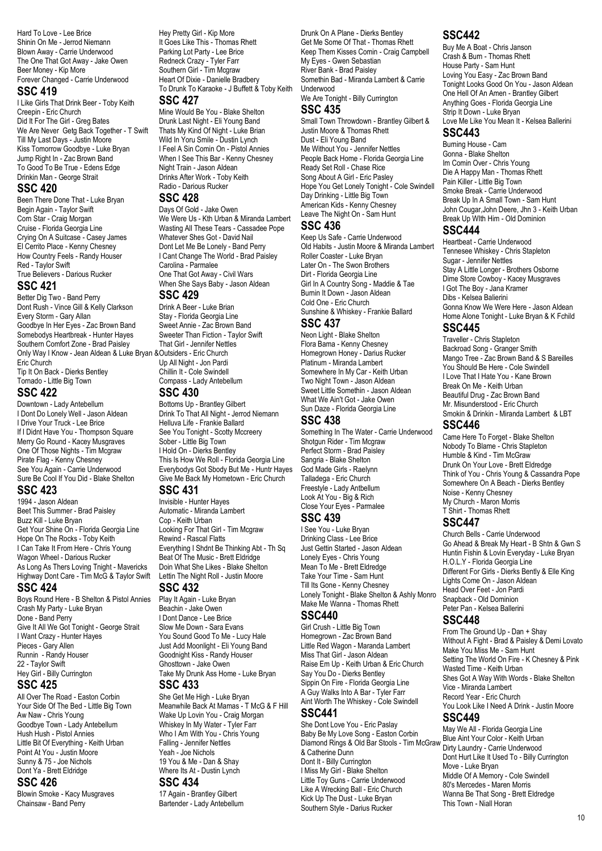Hard To Love - Lee Brice Shinin On Me - Jerrod Niemann Blown Away - Carrie Underwood The One That Got Away - Jake Owen Beer Money - Kip More Forever Changed - Carrie Underwood

#### **SSC 419**

I Like Girls That Drink Beer - Toby Keith Creepin - Eric Church Did It For The Girl - Greg Bates We Are Never Getg Back Together - T Swift Till My Last Days - Justin Moore Kiss Tomorrow Goodbye - Luke Bryan Jump Right In - Zac Brown Band To Good To Be True - Edens Edge Drinkin Man - George Strait

#### **SSC 420**

Been There Done That - Luke Bryan Begin Again - Taylor Swift Corn Star - Craig Morgan Cruise - Florida Georgia Line Crying On A Suitcase - Casey James El Cerrito Place - Kenny Chesney How Country Feels - Randy Houser Red - Taylor Swift True Believers - Darious Rucker

#### **SSC 421**

Better Dig Two - Band Perry Dont Rush - Vince Gill & Kelly Clarkson Every Storm - Gary Allan Goodbye In Her Eyes - Zac Brown Band Somebodys Heartbreak - Hunter Hayes Southern Comfort Zone - Brad Paisley Only Way I Know - Jean Aldean & Luke Bryan & Outsiders - Eric Church Eric Church Tip It On Back - Dierks Bentley Tornado - Little Big Town

#### **SSC 422**

Downtown - Lady Antebellum I Dont Do Lonely Well - Jason Aldean I Drive Your Truck - Lee Brice If I Didnt Have You - Thompson Square Merry Go Round - Kacey Musgraves One Of Those Nights - Tim Mcgraw Pirate Flag - Kenny Chesney See You Again - Carrie Underwood Sure Be Cool If You Did - Blake Shelton

#### **SSC 423**

1994 - Jason Aldean Beet This Summer - Brad Paisley Buzz Kill - Luke Brvan Get Your Shine On - Florida Georgia Line Hope On The Rocks - Toby Keith I Can Take It From Here - Chris Young Wagon Wheel - Darious Rucker As Long As Thers Loving Tnight - Mavericks Highway Dont Care - Tim McG & Taylor Swift **SSC 424**

Boys Round Here - B Shelton & Pistol Annies Crash My Party - Luke Bryan Done - Band Perry Give It All We Got Tonight - George Strait I Want Crazy - Hunter Hayes Pieces - Gary Allen Runnin - Randy Houser 22 - Taylor Swift Hey Girl - Billy Currington **SSC 425**

All Over The Road - Easton Corbin Your Side Of The Bed - Little Big Town Aw Naw - Chris Young Goodbye Town - Lady Antebellum Hush Hush - Pistol Annies Little Bit Of Everything - Keith Urban Point At You - Justin Moore Sunny & 75 - Joe Nichols Dont Ya - Brett Eldridge

#### **SSC 426**

Blowin Smoke - Kacy Musgraves Chainsaw - Band Perry

Hey Pretty Girl - Kip More It Goes Like This - Thomas Rhett Parking Lot Party - Lee Brice Redneck Crazy - Tyler Farr Southern Girl - Tim Mcgraw Heart Of Dixie - Danielle Bradbery To Drunk To Karaoke - J Buffett & Toby Keith

# **SSC 427**

Mine Would Be You - Blake Shelton Drunk Last Night - Eli Young Band Thats My Kind Of Night - Luke Brian Wild In Yoru Smile - Dustin Lynch I Feel A Sin Comin On - Pistol Annies When I See This Bar - Kenny Chesney Night Train - Jason Aldean Drinks After Work - Toby Keith Radio - Darious Rucker **SSC 428**

Days Of Gold - Jake Owen We Were Us - Kth Urban & Miranda Lambert Wasting All These Tears - Cassadee Pope Whatever Shes Got - David Nail Dont Let Me Be Lonely - Band Perry I Cant Change The World - Brad Paisley Carolina - Parmalee One That Got Away - Civil Wars When She Says Baby - Jason Aldean

#### **SSC 429**

Drink A Beer - Luke Brian Stay - Florida Georgia Line Sweet Annie - Zac Brown Band Sweeter Than Fiction - Taylor Swift That Girl - Jennifer Nettles Up All Night - Jon Pardi Chillin It - Cole Swindell Compass - Lady Antebellum **SSC 430**

Bottoms Up - Brantley Gilbert Drink To That All Night - Jerrod Niemann Helluva Life - Frankie Ballard See You Tonight - Scotty Mccreery Sober - Little Big Town I Hold On - Dierks Bentley This Is How We Roll - Florida Georgia Line Everybodys Got Sbody But Me - Huntr Hayes Give Me Back My Hometown - Eric Church

#### **SSC 431**

Invisible - Hunter Hayes Automatic - Miranda Lambert Cop - Keith Urban Looking For That Girl - Tim Mcgraw Rewind - Rascal Flatts Everything I Shdnt Be Thinking Abt - Th Sq Beat Of The Music - Brett Eldridge Doin What She Likes - Blake Shelton Lettin The Night Roll - Justin Moore **SSC 432**

Play It Again - Luke Bryan Beachin - Jake Owen I Dont Dance - Lee Brice Slow Me Down - Sara Evans You Sound Good To Me - Lucy Hale Just Add Moonlight - Eli Young Band Goodnight Kiss - Randy Houser Ghosttown - Jake Owen Take My Drunk Ass Home - Luke Bryan

#### **SSC 433**

She Get Me High - Luke Bryan Meanwhile Back At Mamas - T McG & F Hill Wake Up Lovin You - Craig Morgan Whiskey In My Water - Tyler Farr Who I Am With You - Chris Young Falling - Jennifer Nettles Yeah - Joe Nichols 19 You & Me - Dan & Shay Where Its At - Dustin Lynch **SSC 434**

#### 17 Again - Brantley Gilbert

Bartender - Lady Antebellum

Drunk On A Plane - Dierks Bentley Get Me Some Of That - Thomas Rhett Keep Them Kisses Comin - Craig Campbell My Eyes - Gwen Sebastian River Bank - Brad Paisley Somethin Bad - Miranda Lambert & Carrie Underwood We Are Tonight - Billy Currington

## **SSC 435**

Small Town Throwdown - Brantley Gilbert & Justin Moore & Thomas Rhett Dust - Eli Young Band Me Without You - Jennifer Nettles People Back Home - Florida Georgia Line Ready Set Roll - Chase Rice Song About A Girl - Eric Pasley Hope You Get Lonely Tonight - Cole Swindell Day Drinking - Little Big Town American Kids - Kenny Chesney Leave The Night On - Sam Hunt

## **SSC 436**

Keep Us Safe - Carrie Underwood Old Habits - Justin Moore & Miranda Lambert Roller Coaster - Luke Bryan Later On - The Swon Brothers Dirt - Florida Georgia Line Girl In A Country Song - Maddie & Tae Burnin It Down - Jason Aldean Cold One - Eric Church Sunshine & Whiskey - Frankie Ballard **SSC 437**

Neon Light - Blake Shelton Flora Bama - Kenny Chesney Homegrown Honey - Darius Rucker Platinum - Miranda Lambert Somewhere In My Car - Keith Urban Two Night Town - Jason Aldean Sweet Little Somethin - Jason Aldean What We Ain't Got - Jake Owen Sun Daze - Florida Georgia Line

#### **SSC 438**

Something In The Water - Carrie Underwood Shotgun Rider - Tim Mcgraw Perfect Storm - Brad Paisley Sangria - Blake Shelton God Made Girls - Raelynn Talladega - Eric Church Freestyle - Lady Antbellum Look At You - Big & Rich Close Your Eyes - Parmalee

#### **SSC 439**

I See You - Luke Bryan Drinking Class - Lee Brice Just Gettin Started - Jason Aldean Lonely Eyes - Chris Young Mean To Me - Brett Eldredge Take Your Time - Sam Hunt Till Its Gone - Kenny Chesney Lonely Tonight - Blake Shelton & Ashly Monro Make Me Wanna - Thomas Rhett **SSC440**

Girl Crush - Little Big Town Homegrown - Zac Brown Band Little Red Wagon - Maranda Lambert Miss That Girl - Jason Aldean Raise Em Up - Keith Urban & Eric Church Say You Do - Dierks Bentley Sippin On Fire - Florida Georgia Line A Guy Walks Into A Bar - Tyler Farr Aint Worth The Whiskey - Cole Swindell **SSC441**

She Dont Love You - Eric Paslay Baby Be My Love Song - Easton Corbin Diamond Rings & Old Bar Stools - Tim McGraw & Catherine Dunn Dont It - Billy Currington I Miss My Girl - Blake Shelton Little Toy Guns - Carrie Underwood Like A Wrecking Ball - Eric Church Kick Up The Dust - Luke Bryan Southern Style - Darius Rucker

#### **SSC442**

Buy Me A Boat - Chris Janson Crash & Burn - Thomas Rhett House Party - Sam Hunt Loving You Easy - Zac Brown Band Tonight Looks Good On You - Jason Aldean One Hell Of An Amen - Brantley Gilbert Anything Goes - Florida Georgia Line Strip It Down - Luke Bryan Love Me Like You Mean It - Kelsea Ballerini

#### **SSC443**

Burning House - Cam Gonna - Blake Shelton Im Comin Over - Chris Young Die A Happy Man - Thomas Rhett Pain Killer - Little Big Town Smoke Break - Carrie Underwood Break Up In A Small Town - Sam Hunt John Cougar,John Deere, Jhn 3 - Keith Urban Break Up WIth Him - Old Dominion

#### **SSC444**

Heartbeat - Carrie Underwood Tennesee Whiskey - Chris Stapleton Sugar - Jennifer Nettles Stay A Little Longer - Brothers Osborne Dime Store Cowboy - Kacey Musgraves I Got The Boy - Jana Kramer Dibs - Kelsea Balierini Gonna Know We Were Here - Jason Aldean Home Alone Tonight - Luke Bryan & K Fchild

#### **SSC445**

Traveller - Chris Stapleton Backroad Song - Granger Smith Mango Tree - Zac Brown Band & S Bareilles You Should Be Here - Cole Swindell I Love That I Hate You - Kane Brown Break On Me - Keith Urban Beautiful Drug - Zac Brown Band Mr. Misunderstood - Eric Church Smokin & Drinkin - Miranda Lambert & LBT

#### **SSC446**

Came Here To Forget - Blake Shelton Nobody To Blame - Chris Stapleton Humble & Kind - Tim McGraw Drunk On Your Love - Brett Eldredge Think of You - Chris Young & Cassandra Pope Somewhere On A Beach - Dierks Bentley Noise - Kenny Chesney My Church - Maron Morris T Shirt - Thomas Rhett

#### **SSC447**

Church Bells - Carrie Underwood Go Ahead & Break My Heart - B Shtn & Gwn S Huntin Fishin & Lovin Everyday - Luke Bryan H.O.L.Y - Florida Georgia Line Different For Girls - Dierks Bently & Elle King Lights Come On - Jason Aldean Head Over Feet - Jon Pardi Snapback - Old Dominion Peter Pan - Kelsea Ballerini

#### **SSC448**

From The Ground Up - Dan + Shay Without A Fight - Brad & Paisley & Demi Lovato Make You Miss Me - Sam Hunt Setting The World On Fire - K Chesney & Pink Wasted Time - Keith Urban Shes Got A Way With Words - Blake Shelton Vice - Miranda Lambert Record Year - Eric Church You Look Like I Need A Drink - Justin Moore

#### **SSC449**

May We All - Florida Georgia Line Blue Aint Your Color - Keith Urban Dirty Laundry - Carrie Underwood Dont Hurt Like It Used To - Billy Currington Move - Luke Bryan Middle Of A Memory - Cole Swindell 80's Mercedes - Maren Morris Wanna Be That Song - Brett Eldredge This Town - Niall Horan